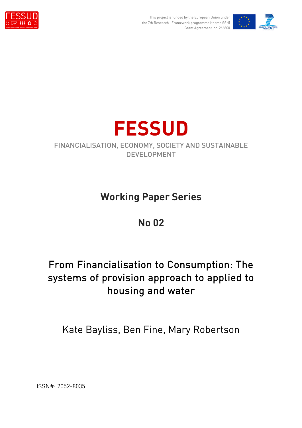

This project is funded by the European Union under the 7th Research Framework programme (theme SSH) Grant Agreement nr 266800





### FINANCIALISATION, ECONOMY, SOCIETY AND SUSTAINABLE DEVELOPMENT

# **Working Paper Series**

# **No 02**

# From Financialisation to Consumption: The systems of provision approach to applied to housing and water

Kate Bayliss, Ben Fine, Mary Robertson

ISSN#: 2052-8035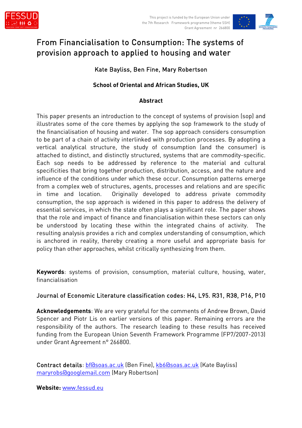



## From Financialisation to Consumption: The systems of provision approach to applied to housing and water

#### Kate Bayliss, Ben Fine, Mary Robertson

#### **School of Oriental and African Studies, UK**

#### **Abstract**

This paper presents an introduction to the concept of systems of provision (sop) and illustrates some of the core themes by applying the sop framework to the study of the financialisation of housing and water. The sop approach considers consumption to be part of a chain of activity interlinked with production processes. By adopting a vertical analytical structure, the study of consumption (and the consumer) is attached to distinct, and distinctly structured, systems that are commodity-specific. Each sop needs to be addressed by reference to the material and cultural specificities that bring together production, distribution, access, and the nature and influence of the conditions under which these occur. Consumption patterns emerge from a complex web of structures, agents, processes and relations and are specific in time and location. Originally developed to address private commodity consumption, the sop approach is widened in this paper to address the delivery of essential services, in which the state often plays a significant role. The paper shows that the role and impact of finance and financialisation within these sectors can only be understood by locating these within the integrated chains of activity. The resulting analysis provides a rich and complex understanding of consumption, which is anchored in reality, thereby creating a more useful and appropriate basis for policy than other approaches, whilst critically synthesizing from them.

**Keywords**: systems of provision, consumption, material culture, housing, water, financialisation

#### Journal of Economic Literature classification codes: H4, L95. R31, R38, P16, P10

**Acknowledgements**: We are very grateful for the comments of Andrew Brown, David Spencer and Piotr Lis on earlier versions of this paper. Remaining errors are the responsibility of the authors. The research leading to these results has received funding from the European Union Seventh Framework Programme (FP7/2007-2013) under Grant Agreement n° 266800.

Contract details: bf@soas.ac.uk (Ben Fine), kb6@soas.ac.uk (Kate Bayliss) maryrobs@googlemail.com (Mary Robertson)

**Website:** www.fessud.eu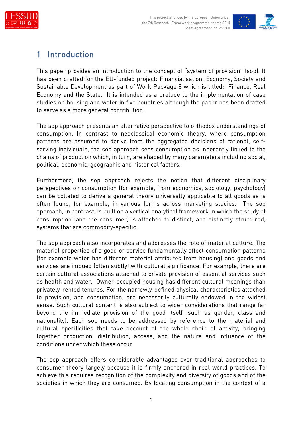



## 1 Introduction

This paper provides an introduction to the concept of "system of provision" (sop). It has been drafted for the EU-funded project: Financialisation, Economy, Society and Sustainable Development as part of Work Package 8 which is titled: Finance, Real Economy and the State. It is intended as a prelude to the implementation of case studies on housing and water in five countries although the paper has been drafted to serve as a more general contribution.

The sop approach presents an alternative perspective to orthodox understandings of consumption. In contrast to neoclassical economic theory, where consumption patterns are assumed to derive from the aggregated decisions of rational, selfserving individuals, the sop approach sees consumption as inherently linked to the chains of production which, in turn, are shaped by many parameters including social, political, economic, geographic and historical factors.

Furthermore, the sop approach rejects the notion that different disciplinary perspectives on consumption (for example, from economics, sociology, psychology) can be collated to derive a general theory universally applicable to all goods as is often found, for example, in various forms across marketing studies. The sop approach, in contrast, is built on a vertical analytical framework in which the study of consumption (and the consumer) is attached to distinct, and distinctly structured, systems that are commodity-specific.

The sop approach also incorporates and addresses the role of material culture. The material properties of a good or service fundamentally affect consumption patterns (for example water has different material attributes from housing) and goods and services are imbued (often subtly) with cultural significance. For example, there are certain cultural associations attached to private provision of essential services such as health and water. Owner-occupied housing has different cultural meanings than privately-rented tenures. For the narrowly-defined physical characteristics attached to provision, and consumption, are necessarily culturally endowed in the widest sense. Such cultural content is also subject to wider considerations that range far beyond the immediate provision of the good itself (such as gender, class and nationality). Each sop needs to be addressed by reference to the material and cultural specificities that take account of the whole chain of activity, bringing together production, distribution, access, and the nature and influence of the conditions under which these occur.

The sop approach offers considerable advantages over traditional approaches to consumer theory largely because it is firmly anchored in real world practices. To achieve this requires recognition of the complexity and diversity of goods and of the societies in which they are consumed. By locating consumption in the context of a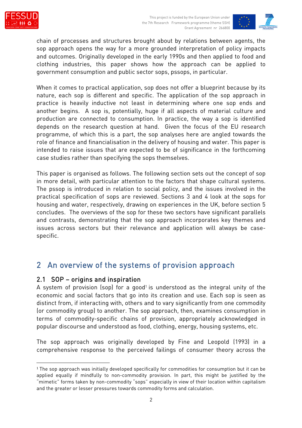



chain of processes and structures brought about by relations between agents, the sop approach opens the way for a more grounded interpretation of policy impacts and outcomes. Originally developed in the early 1990s and then applied to food and clothing industries, this paper shows how the approach can be applied to government consumption and public sector sops, pssops, in particular.

When it comes to practical application, sop does not offer a blueprint because by its nature, each sop is different and specific. The application of the sop approach in practice is heavily inductive not least in determining where one sop ends and another begins. A sop is, potentially, huge if all aspects of material culture and production are connected to consumption. In practice, the way a sop is identified depends on the research question at hand. Given the focus of the EU research programme, of which this is a part, the sop analyses here are angled towards the role of finance and financialisation in the delivery of housing and water. This paper is intended to raise issues that are expected to be of significance in the forthcoming case studies rather than specifying the sops themselves.

This paper is organised as follows. The following section sets out the concept of sop in more detail, with particular attention to the factors that shape cultural systems. The pssop is introduced in relation to social policy, and the issues involved in the practical specification of sops are reviewed. Sections 3 and 4 look at the sops for housing and water, respectively, drawing on experiences in the UK, before section 5 concludes. The overviews of the sop for these two sectors have significant parallels and contrasts, demonstrating that the sop approach incorporates key themes and issues across sectors but their relevance and application will always be casespecific.

### 2 An overview of the systems of provision approach

#### 2.1 SOP – origins and inspiration

A system of provision (sop) for a good<sup>1</sup> is understood as the integral unity of the economic and social factors that go into its creation and use. Each sop is seen as distinct from, if interacting with, others and to vary significantly from one commodity (or commodity group) to another. The sop approach, then, examines consumption in terms of commodity-specific chains of provision, appropriately acknowledged in popular discourse and understood as food, clothing, energy, housing systems, etc.

The sop approach was originally developed by Fine and Leopold (1993) in a comprehensive response to the perceived failings of consumer theory across the

<sup>1</sup> The sop approach was initially developed specifically for commodities for consumption but it can be applied equally if mindfully to non-commodity provision. In part, this might be justified by the "mimetic" forms taken by non-commodity "sops" especially in view of their location within capitalism and the greater or lesser pressures towards commodity forms and calculation.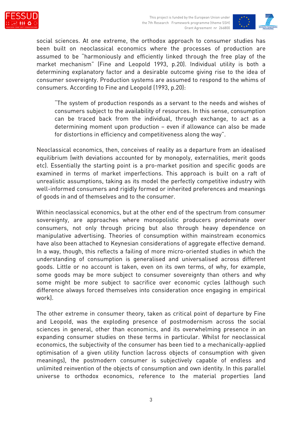



social sciences. At one extreme, the orthodox approach to consumer studies has been built on neoclassical economics where the processes of production are assumed to be "harmoniously and efficiently linked through the free play of the market mechanism" (Fine and Leopold 1993, p.20). Individual utility is both a determining explanatory factor and a desirable outcome giving rise to the idea of consumer sovereignty. Production systems are assumed to respond to the whims of consumers. According to Fine and Leopold (1993, p.20):

"The system of production responds as a servant to the needs and wishes of consumers subject to the availability of resources. In this sense, consumption can be traced back from the individual, through exchange, to act as a determining moment upon production – even if allowance can also be made for distortions in efficiency and competitiveness along the way".

Neoclassical economics, then, conceives of reality as a departure from an idealised equilibrium (with deviations accounted for by monopoly, externalities, merit goods etc). Essentially the starting point is a pro-market position and specific goods are examined in terms of market imperfections. This approach is built on a raft of unrealistic assumptions, taking as its model the perfectly competitive industry with well-informed consumers and rigidly formed or inherited preferences and meanings of goods in and of themselves and to the consumer.

Within neoclassical economics, but at the other end of the spectrum from consumer sovereignty, are approaches where monopolistic producers predominate over consumers, not only through pricing but also through heavy dependence on manipulative advertising. Theories of consumption within mainstream economics have also been attached to Keynesian considerations of aggregate effective demand. In a way, though, this reflects a failing of more micro-oriented studies in which the understanding of consumption is generalised and universalised across different goods. Little or no account is taken, even on its own terms, of why, for example, some goods may be more subject to consumer sovereignty than others and why some might be more subject to sacrifice over economic cycles (although such difference always forced themselves into consideration once engaging in empirical work).

The other extreme in consumer theory, taken as critical point of departure by Fine and Leopold, was the exploding presence of postmodernism across the social sciences in general, other than economics, and its overwhelming presence in an expanding consumer studies on these terms in particular. Whilst for neoclassical economics, the subjectivity of the consumer has been tied to a mechanically-applied optimisation of a given utility function (across objects of consumption with given meanings), the postmodern consumer is subjectively capable of endless and unlimited reinvention of the objects of consumption and own identity. In this parallel universe to orthodox economics, reference to the material properties (and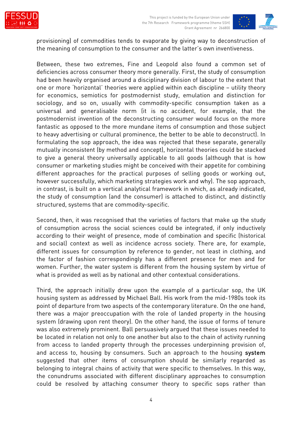



provisioning) of commodities tends to evaporate by giving way to deconstruction of the meaning of consumption to the consumer and the latter's own inventiveness.

Between, these two extremes, Fine and Leopold also found a common set of deficiencies across consumer theory more generally. First, the study of consumption had been heavily organised around a disciplinary division of labour to the extent that one or more 'horizontal' theories were applied within each discipline – utility theory for economics, semiotics for postmodernist study, emulation and distinction for sociology, and so on, usually with commodity-specific consumption taken as a universal and generalisable norm (it is no accident, for example, that the postmodernist invention of the deconstructing consumer would focus on the more fantastic as opposed to the more mundane items of consumption and those subject to heavy advertising or cultural prominence, the better to be able to deconstruct). In formulating the sop approach, the idea was rejected that these separate, generally mutually inconsistent (by method and concept), horizontal theories could be stacked to give a general theory universally applicable to all goods (although that is how consumer or marketing studies might be conceived with their appetite for combining different approaches for the practical purposes of selling goods or working out, however successfully, which marketing strategies work and why). The sop approach, in contrast, is built on a vertical analytical framework in which, as already indicated, the study of consumption (and the consumer) is attached to distinct, and distinctly structured, systems that are commodity-specific.

Second, then, it was recognised that the varieties of factors that make up the study of consumption across the social sciences could be integrated, if only inductively according to their weight of presence, mode of combination and specific (historical and social) context as well as incidence across society. There are, for example, different issues for consumption by reference to gender, not least in clothing, and the factor of fashion correspondingly has a different presence for men and for women. Further, the water system is different from the housing system by virtue of what is provided as well as by national and other contextual considerations.

Third, the approach initially drew upon the example of a particular sop, the UK housing system as addressed by Michael Ball. His work from the mid-1980s took its point of departure from two aspects of the contemporary literature. On the one hand, there was a major preoccupation with the role of landed property in the housing system (drawing upon rent theory). On the other hand, the issue of forms of tenure was also extremely prominent. Ball persuasively argued that these issues needed to be located in relation not only to one another but also to the chain of activity running from access to landed property through the processes underpinning provision of, and access to, housing by consumers. Such an approach to the housing system suggested that other items of consumption should be similarly regarded as belonging to integral chains of activity that were specific to themselves. In this way, the conundrums associated with different disciplinary approaches to consumption could be resolved by attaching consumer theory to specific sops rather than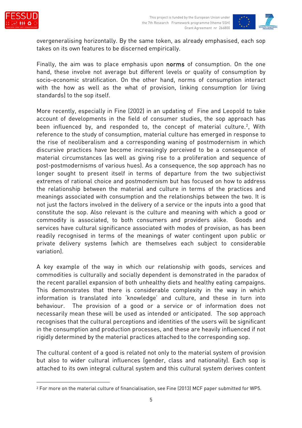



overgeneralising horizontally. By the same token, as already emphasised, each sop takes on its own features to be discerned empirically.

Finally, the aim was to place emphasis upon norms of consumption. On the one hand, these involve not average but different levels or quality of consumption by socio-economic stratification. On the other hand, norms of consumption interact with the how as well as the what of provision, linking consumption (or living standards) to the sop itself.

More recently, especially in Fine (2002) in an updating of Fine and Leopold to take account of developments in the field of consumer studies, the sop approach has been influenced by, and responded to, the concept of material culture.<sup>2</sup>, With reference to the study of consumption, material culture has emerged in response to the rise of neoliberalism and a corresponding waning of postmodernism in which discursive practices have become increasingly perceived to be a consequence of material circumstances (as well as giving rise to a proliferation and sequence of post-postmodernisms of various hues). As a consequence, the sop approach has no longer sought to present itself in terms of departure from the two subjectivist extremes of rational choice and postmodernism but has focused on how to address the relationship between the material and culture in terms of the practices and meanings associated with consumption and the relationships between the two. It is not just the factors involved in the delivery of a service or the inputs into a good that constitute the sop. Also relevant is the culture and meaning with which a good or commodity is associated, to both consumers and providers alike. Goods and services have cultural significance associated with modes of provision, as has been readily recognised in terms of the meanings of water contingent upon public or private delivery systems (which are themselves each subject to considerable variation).

A key example of the way in which our relationship with goods, services and commodities is culturally and socially dependent is demonstrated in the paradox of the recent parallel expansion of both unhealthy diets and healthy eating campaigns. This demonstrates that there is considerable complexity in the way in which information is translated into 'knowledge' and culture, and these in turn into behaviour. The provision of a good or a service or of information does not necessarily mean these will be used as intended or anticipated. The sop approach recognises that the cultural perceptions and identities of the users will be significant in the consumption and production processes, and these are heavily influenced if not rigidly determined by the material practices attached to the corresponding sop.

The cultural content of a good is related not only to the material system of provision but also to wider cultural influences (gender, class and nationality). Each sop is attached to its own integral cultural system and this cultural system derives content

<sup>2</sup> For more on the material culture of financialisation, see Fine (2013) MCF paper submitted for WP5.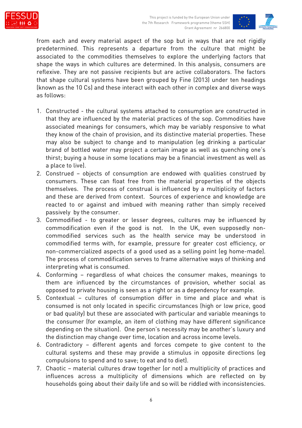



from each and every material aspect of the sop but in ways that are not rigidly predetermined. This represents a departure from the culture that might be associated to the commodities themselves to explore the underlying factors that shape the ways in which cultures are determined. In this analysis, consumers are reflexive. They are not passive recipients but are active collaborators. The factors that shape cultural systems have been grouped by Fine (2013) under ten headings (known as the 10 Cs) and these interact with each other in complex and diverse ways as follows:

- 1. Constructed the cultural systems attached to consumption are constructed in that they are influenced by the material practices of the sop. Commodities have associated meanings for consumers, which may be variably responsive to what they know of the chain of provision, and its distinctive material properties. These may also be subject to change and to manipulation (eg drinking a particular brand of bottled water may project a certain image as well as quenching one's thirst; buying a house in some locations may be a financial investment as well as a place to live).
- 2. Construed objects of consumption are endowed with qualities construed by consumers. These can float free from the material properties of the objects themselves. The process of construal is influenced by a multiplicity of factors and these are derived from context. Sources of experience and knowledge are reacted to or against and imbued with meaning rather than simply received passively by the consumer.
- 3. Commodified to greater or lesser degrees, cultures may be influenced by commodification even if the good is not. In the UK, even supposedly noncommodified services such as the health service may be understood in commodified terms with, for example, pressure for greater cost efficiency, or non-commercialized aspects of a good used as a selling point (eg home-made). The process of commodification serves to frame alternative ways of thinking and interpreting what is consumed.
- 4. Conforming regardless of what choices the consumer makes, meanings to them are influenced by the circumstances of provision, whether social as opposed to private housing is seen as a right or as a dependency for example.
- 5. Contextual cultures of consumption differ in time and place and what is consumed is not only located in specific circumstances (high or low price, good or bad quality) but these are associated with particular and variable meanings to the consumer (for example, an item of clothing may have different significance depending on the situation). One person's necessity may be another's luxury and the distinction may change over time, location and across income levels.
- 6. Contradictory different agents and forces compete to give content to the cultural systems and these may provide a stimulus in opposite directions (eg compulsions to spend and to save; to eat and to diet).
- 7. Chaotic material cultures draw together (or not) a multiplicity of practices and influences across a multiplicity of dimensions which are reflected on by households going about their daily life and so will be riddled with inconsistencies.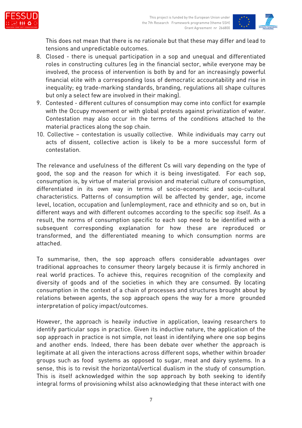



This does not mean that there is no rationale but that these may differ and lead to tensions and unpredictable outcomes.

- 8. Closed there is unequal participation in a sop and unequal and differentiated roles in constructing cultures (eg in the financial sector, while everyone may be involved, the process of intervention is both by and for an increasingly powerful financial elite with a corresponding loss of democratic accountability and rise in inequality; eg trade-marking standards, branding, regulations all shape cultures but only a select few are involved in their making).
- 9. Contested different cultures of consumption may come into conflict for example with the Occupy movement or with global protests against privatization of water. Contestation may also occur in the terms of the conditions attached to the material practices along the sop chain.
- 10. Collective contestation is usually collective. While individuals may carry out acts of dissent, collective action is likely to be a more successful form of contestation.

The relevance and usefulness of the different Cs will vary depending on the type of good, the sop and the reason for which it is being investigated. For each sop, consumption is, by virtue of material provision and material culture of consumption, differentiated in its own way in terms of socio-economic and socio-cultural characteristics. Patterns of consumption will be affected by gender, age, income level, location, occupation and (un)employment, race and ethnicity and so on, but in different ways and with different outcomes according to the specific sop itself. As a result, the norms of consumption specific to each sop need to be identified with a subsequent corresponding explanation for how these are reproduced or transformed, and the differentiated meaning to which consumption norms are attached.

To summarise, then, the sop approach offers considerable advantages over traditional approaches to consumer theory largely because it is firmly anchored in real world practices. To achieve this, requires recognition of the complexity and diversity of goods and of the societies in which they are consumed. By locating consumption in the context of a chain of processes and structures brought about by relations between agents, the sop approach opens the way for a more grounded interpretation of policy impact/outcomes.

However, the approach is heavily inductive in application, leaving researchers to identify particular sops in practice. Given its inductive nature, the application of the sop approach in practice is not simple, not least in identifying where one sop begins and another ends. Indeed, there has been debate over whether the approach is legitimate at all given the interactions across different sops, whether within broader groups such as food systems as opposed to sugar, meat and dairy systems. In a sense, this is to revisit the horizontal/vertical dualism in the study of consumption. This is itself acknowledged within the sop approach by both seeking to identify integral forms of provisioning whilst also acknowledging that these interact with one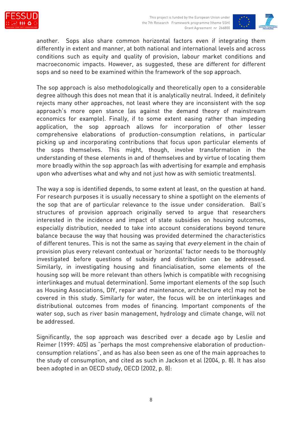



another. Sops also share common horizontal factors even if integrating them differently in extent and manner, at both national and international levels and across conditions such as equity and quality of provision, labour market conditions and macroeconomic impacts. However, as suggested, these are different for different sops and so need to be examined within the framework of the sop approach.

The sop approach is also methodologically and theoretically open to a considerable degree although this does not mean that it is analytically neutral. Indeed, it definitely rejects many other approaches, not least where they are inconsistent with the sop approach's more open stance (as against the demand theory of mainstream economics for example). Finally, if to some extent easing rather than impeding application, the sop approach allows for incorporation of other lesser comprehensive elaborations of production-consumption relations, in particular picking up and incorporating contributions that focus upon particular elements of the sops themselves. This might, though, involve transformation in the understanding of these elements in and of themselves and by virtue of locating them more broadly within the sop approach (as with advertising for example and emphasis upon who advertises what and why and not just how as with semiotic treatments).

The way a sop is identified depends, to some extent at least, on the question at hand. For research purposes it is usually necessary to shine a spotlight on the elements of the sop that are of particular relevance to the issue under consideration. Ball's structures of provision approach originally served to argue that researchers interested in the incidence and impact of state subsidies on housing outcomes, especially distribution, needed to take into account considerations beyond tenure balance because the way that housing was provided determined the characteristics of different tenures. This is not the same as saying that every element in the chain of provision plus every relevant contextual or 'horizontal' factor needs to be thoroughly investigated before questions of subsidy and distribution can be addressed. Similarly, in investigating housing and financialisation, some elements of the housing sop will be more relevant than others (which is compatible with recognising interlinkages and mutual determination). Some important elements of the sop (such as Housing Associations, DIY, repair and maintenance, architecture etc) may not be covered in this study. Similarly for water, the focus will be on interlinkages and distributional outcomes from modes of financing. Important components of the water sop, such as river basin management, hydrology and climate change, will not be addressed.

Significantly, the sop approach was described over a decade ago by Leslie and Reimer (1999: 405) as "perhaps the most comprehensive elaboration of productionconsumption relations", and as has also been seen as one of the main approaches to the study of consumption, and cited as such in Jackson et al (2004, p. 8). It has also been adopted in an OECD study, OECD (2002, p. 8):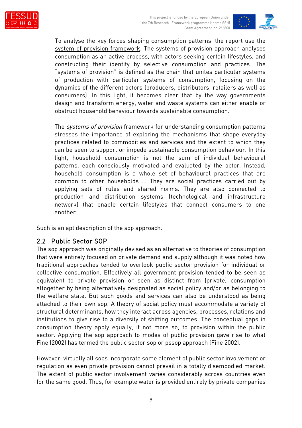



To analyse the key forces shaping consumption patterns, the report use the system of provision framework. The systems of provision approach analyses consumption as an active process, with actors seeking certain lifestyles, and constructing their identity by selective consumption and practices. The "systems of provision" is defined as the chain that unites particular systems of production with particular systems of consumption, focusing on the dynamics of the different actors (producers, distributors, retailers as well as consumers). In this light, it becomes clear that by the way governments design and transform energy, water and waste systems can either enable or obstruct household behaviour towards sustainable consumption.

The systems of provision framework for understanding consumption patterns stresses the importance of exploring the mechanisms that shape everyday practices related to commodities and services and the extent to which they can be seen to support or impede sustainable consumption behaviour. In this light, household consumption is not the sum of individual behavioural patterns, each consciously motivated and evaluated by the actor. Instead, household consumption is a whole set of behavioural practices that are common to other households … They are social practices carried out by applying sets of rules and shared norms. They are also connected to production and distribution systems (technological and infrastructure network) that enable certain lifestyles that connect consumers to one another.

Such is an apt description of the sop approach.

#### 2.2 Public Sector SOP

The sop approach was originally devised as an alternative to theories of consumption that were entirely focused on private demand and supply although it was noted how traditional approaches tended to overlook public sector provision for individual or collective consumption. Effectively all government provision tended to be seen as equivalent to private provision or seen as distinct from (private) consumption altogether by being alternatively designated as social policy and/or as belonging to the welfare state. But such goods and services can also be understood as being attached to their own sop. A theory of social policy must accommodate a variety of structural determinants, how they interact across agencies, processes, relations and institutions to give rise to a diversity of shifting outcomes. The conceptual gaps in consumption theory apply equally, if not more so, to provision within the public sector. Applying the sop approach to modes of public provision gave rise to what Fine (2002) has termed the public sector sop or pssop approach (Fine 2002).

However, virtually all sops incorporate some element of public sector involvement or regulation as even private provision cannot prevail in a totally disembodied market. The extent of public sector involvement varies considerably across countries even for the same good. Thus, for example water is provided entirely by private companies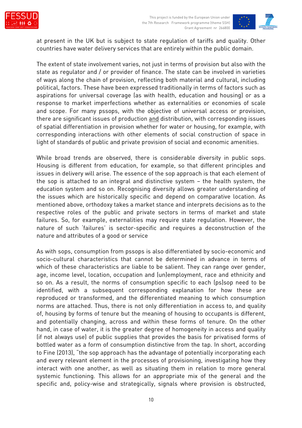

at present in the UK but is subject to state regulation of tariffs and quality. Other countries have water delivery services that are entirely within the public domain.

The extent of state involvement varies, not just in terms of provision but also with the state as regulator and / or provider of finance. The state can be involved in varieties of ways along the chain of provision, reflecting both material and cultural, including political, factors. These have been expressed traditionally in terms of factors such as aspirations for universal coverage (as with health, education and housing) or as a response to market imperfections whether as externalities or economies of scale and scope. For many pssops, with the objective of universal access or provision, there are significant issues of production and distribution, with corresponding issues of spatial differentiation in provision whether for water or housing, for example, with corresponding interactions with other elements of social construction of space in light of standards of public and private provision of social and economic amenities.

While broad trends are observed, there is considerable diversity in public sops. Housing is different from education, for example, so that different principles and issues in delivery will arise. The essence of the sop approach is that each element of the sop is attached to an integral and distinctive system – the health system, the education system and so on. Recognising diversity allows greater understanding of the issues which are historically specific and depend on comparative location. As mentioned above, orthodoxy takes a market stance and interprets decisions as to the respective roles of the public and private sectors in terms of market and state failures. So, for example, externalities may require state regulation. However, the nature of such 'failures' is sector-specific and requires a deconstruction of the nature and attributes of a good or service

As with sops, consumption from pssops is also differentiated by socio-economic and socio-cultural characteristics that cannot be determined in advance in terms of which of these characteristics are liable to be salient. They can range over gender, age, income level, location, occupation and (un)employment, race and ethnicity and so on. As a result, the norms of consumption specific to each (ps)sop need to be identified, with a subsequent corresponding explanation for how these are reproduced or transformed, and the differentiated meaning to which consumption norms are attached. Thus, there is not only differentiation in access to, and quality of, housing by forms of tenure but the meaning of housing to occupants is different, and potentially changing, across and within these forms of tenure. On the other hand, in case of water, it is the greater degree of homogeneity in access and quality (if not always use) of public supplies that provides the basis for privatised forms of bottled water as a form of consumption distinctive from the tap. In short, according to Fine (2013), "the sop approach has the advantage of potentially incorporating each and every relevant element in the processes of provisioning, investigating how they interact with one another, as well as situating them in relation to more general systemic functioning. This allows for an appropriate mix of the general and the specific and, policy-wise and strategically, signals where provision is obstructed,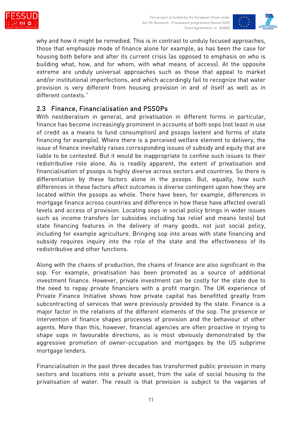



why and how it might be remedied. This is in contrast to unduly focused approaches, those that emphasize mode of finance alone for example, as has been the case for housing both before and after its current crisis (as opposed to emphasis on who is building what, how, and for whom, with what means of access). At the opposite extreme are unduly universal approaches such as those that appeal to market and/or institutional imperfections, and which accordingly fail to recognize that water provision is very different from housing provision in and of itself as well as in different contexts."

#### 2.3 Finance, Financialisation and PSSOPs

With neoliberalism in general, and privatisation in different forms in particular, finance has become increasingly prominent in accounts of both sops (not least in use of credit as a means to fund consumption) and pssops (extent and forms of state financing for example). Where there is a perceived welfare element to delivery, the issue of finance inevitably raises corresponding issues of subsidy and equity that are liable to be contested. But it would be inappropriate to confine such issues to their redistributive role alone. As is readily apparent, the extent of privatisation and financialisation of pssops is highly diverse across sectors and countries. So there is differentiation by these factors alone in the pssops. But, equally, how such differences in these factors affect outcomes is diverse contingent upon how they are located within the pssops as whole. There have been, for example, differences in mortgage finance across countries and difference in how these have affected overall levels and access of provision. Locating sops in social policy brings in wider issues such as income transfers (or subsidies including tax relief and means tests) but state financing features in the delivery of many goods, not just social policy, including for example agriculture. Bringing sop into areas with state financing and subsidy requires inquiry into the role of the state and the effectiveness of its redistributive and other functions.

Along with the chains of production, the chains of finance are also significant in the sop. For example, privatisation has been promoted as a source of additional investment finance. However, private investment can be costly for the state due to the need to repay private financiers with a profit margin. The UK experience of Private Finance Initiative shows how private capital has benefitted greatly from subcontracting of services that were previously provided by the state. Finance is a major factor in the relations of the different elements of the sop. The presence or intervention of finance shapes processes of provision and the behaviour of other agents. More than this, however, financial agencies are often proactive in trying to shape sops in favourable directions, as is most obviously demonstrated by the aggressive promotion of owner-occupation and mortgages by the US subprime mortgage lenders.

Financialisation in the past three decades has transformed public provision in many sectors and locations into a private asset, from the sale of social housing to the privatisation of water. The result is that provision is subject to the vagaries of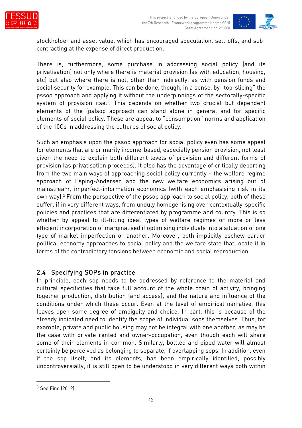

stockholder and asset value, which has encouraged speculation, sell-offs, and subcontracting at the expense of direct production.

There is, furthermore, some purchase in addressing social policy (and its privatisation) not only where there is material provision (as with education, housing, etc) but also where there is not, other than indirectly, as with pension funds and social security for example. This can be done, though, in a sense, by "top-slicing" the pssop approach and applying it without the underpinnings of the sectorally-specific system of provision itself. This depends on whether two crucial but dependent elements of the (ps)sop approach can stand alone in general and for specific elements of social policy. These are appeal to "consumption" norms and application of the 10Cs in addressing the cultures of social policy.

Such an emphasis upon the pssop approach for social policy even has some appeal for elements that are primarily income-based, especially pension provision, not least given the need to explain both different levels of provision and different forms of provision (as privatisation proceeds). It also has the advantage of critically departing from the two main ways of approaching social policy currently – the welfare regime approach of Esping-Andersen and the new welfare economics arising out of mainstream, imperfect-information economics (with each emphasising risk in its own way).<sup>3</sup> From the perspective of the pssop approach to social policy, both of these suffer, if in very different ways, from unduly homogenising over contextually-specific policies and practices that are differentiated by programme and country. This is so whether by appeal to ill-fitting ideal types of welfare regimes or more or less efficient incorporation of marginalised if optimising individuals into a situation of one type of market imperfection or another. Moreover, both implicitly eschew earlier political economy approaches to social policy and the welfare state that locate it in terms of the contradictory tensions between economic and social reproduction.

#### 2.4 Specifying SOPs in practice

In principle, each sop needs to be addressed by reference to the material and cultural specificities that take full account of the whole chain of activity, bringing together production, distribution (and access), and the nature and influence of the conditions under which these occur. Even at the level of empirical narrative, this leaves open some degree of ambiguity and choice. In part, this is because of the already indicated need to identify the scope of individual sops themselves. Thus, for example, private and public housing may not be integral with one another, as may be the case with private rented and owner-occupation, even though each will share some of their elements in common. Similarly, bottled and piped water will almost certainly be perceived as belonging to separate, if overlapping sops. In addition, even if the sop itself, and its elements, has been empirically identified, possibly uncontroversially, it is still open to be understood in very different ways both within

<sup>3</sup> See Fine (2012).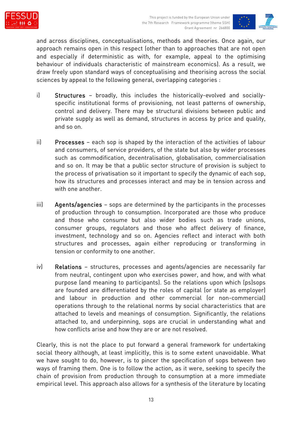



and across disciplines, conceptualisations, methods and theories. Once again, our approach remains open in this respect (other than to approaches that are not open and especially if deterministic as with, for example, appeal to the optimising behaviour of individuals characteristic of mainstream economics). As a result, we draw freely upon standard ways of conceptualising and theorising across the social sciences by appeal to the following general, overlapping categories :

- i) Structures broadly, this includes the historically-evolved and sociallyspecific institutional forms of provisioning, not least patterns of ownership, control and delivery. There may be structural divisions between public and private supply as well as demand, structures in access by price and quality, and so on.
- ii) Processes each sop is shaped by the interaction of the activities of labour and consumers, of service providers, of the state but also by wider processes such as commodification, decentralisation, globalisation, commercialisation and so on. It may be that a public sector structure of provision is subject to the process of privatisation so it important to specify the dynamic of each sop, how its structures and processes interact and may be in tension across and with one another.
- iii) Agents/agencies sops are determined by the participants in the processes of production through to consumption. Incorporated are those who produce and those who consume but also wider bodies such as trade unions, consumer groups, regulators and those who affect delivery of finance, investment, technology and so on. Agencies reflect and interact with both structures and processes, again either reproducing or transforming in tension or conformity to one another.
- iv) Relations structures, processes and agents/agencies are necessarily far from neutral, contingent upon who exercises power, and how, and with what purpose (and meaning to participants). So the relations upon which (ps)sops are founded are differentiated by the roles of capital (or state as employer) and labour in production and other commercial (or non-commercial) operations through to the relational norms by social characteristics that are attached to levels and meanings of consumption. Significantly, the relations attached to, and underpinning, sops are crucial in understanding what and how conflicts arise and how they are or are not resolved.

Clearly, this is not the place to put forward a general framework for undertaking social theory although, at least implicitly, this is to some extent unavoidable. What we have sought to do, however, is to pincer the specification of sops between two ways of framing them. One is to follow the action, as it were, seeking to specify the chain of provision from production through to consumption at a more immediate empirical level. This approach also allows for a synthesis of the literature by locating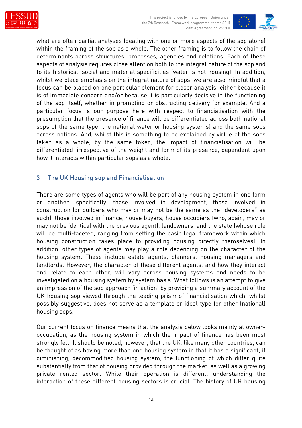



what are often partial analyses (dealing with one or more aspects of the sop alone) within the framing of the sop as a whole. The other framing is to follow the chain of determinants across structures, processes, agencies and relations. Each of these aspects of analysis requires close attention both to the integral nature of the sop and to its historical, social and material specificities (water is not housing). In addition, whilst we place emphasis on the integral nature of sops, we are also mindful that a focus can be placed on one particular element for closer analysis, either because it is of immediate concern and/or because it is particularly decisive in the functioning of the sop itself, whether in promoting or obstructing delivery for example. And a particular focus is our purpose here with respect to financialisation with the presumption that the presence of finance will be differentiated across both national sops of the same type (the national water or housing systems) and the same sops across nations. And, whilst this is something to be explained by virtue of the sops taken as a whole, by the same token, the impact of financialisation will be differentiated, irrespective of the weight and form of its presence, dependent upon how it interacts within particular sops as a whole.

#### 3 The UK Housing sop and Financialisation

There are some types of agents who will be part of any housing system in one form or another: specifically, those involved in development, those involved in construction (or builders who may or may not be the same as the "developers" as such), those involved in finance, house buyers, house occupiers (who, again, may or may not be identical with the previous agent), landowners, and the state (whose role will be multi-faceted, ranging from setting the basic legal framework within which housing construction takes place to providing housing directly themselves). In addition, other types of agents may play a role depending on the character of the housing system. These include estate agents, planners, housing managers and landlords. However, the character of these different agents, and how they interact and relate to each other, will vary across housing systems and needs to be investigated on a housing system by system basis. What follows is an attempt to give an impression of the sop approach 'in action' by providing a summary account of the UK housing sop viewed through the leading prism of financialisation which, whilst possibly suggestive, does not serve as a template or ideal type for other (national) housing sops.

Our current focus on finance means that the analysis below looks mainly at owneroccupation, as the housing system in which the impact of finance has been most strongly felt. It should be noted, however, that the UK, like many other countries, can be thought of as having more than one housing system in that it has a significant, if diminishing, decommodified housing system, the functioning of which differ quite substantially from that of housing provided through the market, as well as a growing private rented sector. While their operation is different, understanding the interaction of these different housing sectors is crucial. The history of UK housing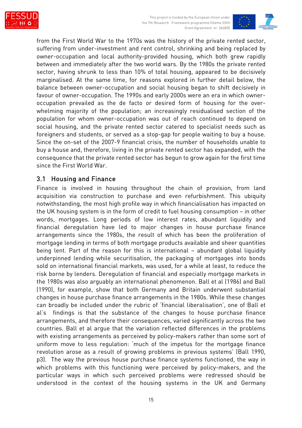



from the First World War to the 1970s was the history of the private rented sector, suffering from under-investment and rent control, shrinking and being replaced by owner-occupation and local authority-provided housing, which both grew rapidly between and immediately after the two world wars. By the 1980s the private rented sector, having shrunk to less than 10% of total housing, appeared to be decisively marginalised. At the same time, for reasons explored in further detail below, the balance between owner-occupation and social housing began to shift decisively in favour of owner-occupation. The 1990s and early 2000s were an era in which owneroccupation prevailed as the de facto or desired form of housing for the overwhelming majority of the population; an increasingly residualised section of the population for whom owner-occupation was out of reach continued to depend on social housing, and the private rented sector catered to specialist needs such as foreigners and students, or served as a stop-gap for people waiting to buy a house. Since the on-set of the 2007-9 financial crisis, the number of households unable to buy a house and, therefore, living in the private rented sector has expanded, with the consequence that the private rented sector has begun to grow again for the first time since the First World War.

#### 3.1 Housing and Finance

Finance is involved in housing throughout the chain of provision, from land acquisition via construction to purchase and even refurbishment. This ubiquity notwithstanding, the most high profile way in which financialisation has impacted on the UK housing system is in the form of credit to fuel housing consumption – in other words, mortgages. Long periods of low interest rates, abundant liquidity and financial deregulation have led to major changes in house purchase finance arrangements since the 1980s, the result of which has been the proliferation of mortgage lending in terms of both mortgage products available and sheer quantities being lent. Part of the reason for this is international – abundant global liquidity underpinned lending while securitisation, the packaging of mortgages into bonds sold on international financial markets, was used, for a while at least, to reduce the risk borne by lenders. Deregulation of financial and especially mortgage markets in the 1980s was also arguably an international phenomenon. Ball et al (1986) and Ball (1990), for example, show that both Germany and Britain underwent substantial changes in house purchase finance arrangements in the 1980s. While these changes can broadly be included under the rubric of 'financial liberalisation', one of Ball et al's findings is that the substance of the changes to house purchase finance arrangements, and therefore their consequences, varied significantly across the two countries. Ball et al argue that the variation reflected differences in the problems with existing arrangements as perceived by policy-makers rather than some sort of uniform move to less regulation: 'much of the impetus for the mortgage finance revolution arose as a result of growing problems in previous systems' (Ball 1990, p3). The way the previous house purchase finance systems functioned, the way in which problems with this functioning were perceived by policy-makers, and the particular ways in which such perceived problems were redressed should be understood in the context of the housing systems in the UK and Germany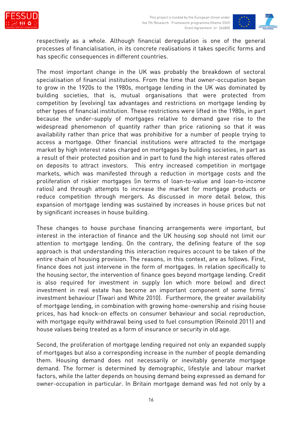



respectively as a whole. Although financial deregulation is one of the general processes of financialisation, in its concrete realisations it takes specific forms and has specific consequences in different countries.

The most important change in the UK was probably the breakdown of sectoral specialisation of financial institutions. From the time that owner-occupation began to grow in the 1920s to the 1980s, mortgage lending in the UK was dominated by building societies, that is, mutual organisations that were protected from competition by (evolving) tax advantages and restrictions on mortgage lending by other types of financial institution. These restrictions were lifted in the 1980s, in part because the under-supply of mortgages relative to demand gave rise to the widespread phenomenon of quantity rather than price rationing so that it was availability rather than price that was prohibitive for a number of people trying to access a mortgage. Other financial institutions were attracted to the mortgage market by high interest rates charged on mortgages by building societies, in part as a result of their protected position and in part to fund the high interest rates offered on deposits to attract investors. This entry increased competition in mortgage markets, which was manifested through a reduction in mortgage costs and the proliferation of riskier mortgages (in terms of loan-to-value and loan-to-income ratios) and through attempts to increase the market for mortgage products or reduce competition through mergers. As discussed in more detail below, this expansion of mortgage lending was sustained by increases in house prices but not by significant increases in house building.

These changes to house purchase financing arrangements were important, but interest in the interaction of finance and the UK housing sop should not limit our attention to mortgage lending. On the contrary, the defining feature of the sop approach is that understanding this interaction requires account to be taken of the entire chain of housing provision. The reasons, in this context, are as follows. First, finance does not just intervene in the form of mortgages. In relation specifically to the housing sector, the intervention of finance goes beyond mortgage lending. Credit is also required for investment in supply (on which more below) and direct investment in real estate has become an important component of some firms' investment behaviour (Tiwari and White 2010). Furthermore, the greater availability of mortgage lending, in combination with growing home-ownership and rising house prices, has had knock-on effects on consumer behaviour and social reproduction, with mortgage equity withdrawal being used to fuel consumption (Reinold 2011) and house values being treated as a form of insurance or security in old age.

Second, the proliferation of mortgage lending required not only an expanded supply of mortgages but also a corresponding increase in the number of people demanding them. Housing demand does not necessarily or inevitably generate mortgage demand. The former is determined by demographic, lifestyle and labour market factors, while the latter depends on housing demand being expressed as demand for owner-occupation in particular. In Britain mortgage demand was fed not only by a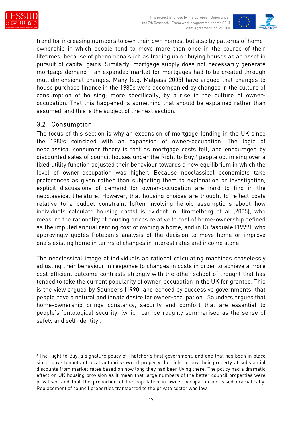



trend for increasing numbers to own their own homes, but also by patterns of homeownership in which people tend to move more than once in the course of their lifetimes because of phenomena such as trading up or buying houses as an asset in pursuit of capital gains. Similarly, mortgage supply does not necessarily generate mortgage demand – an expanded market for mortgages had to be created through multidimensional changes. Many (e.g. Malpass 2005) have argued that changes to house purchase finance in the 1980s were accompanied by changes in the culture of consumption of housing; more specifically, by a rise in the culture of owneroccupation. That this happened is something that should be explained rather than assumed, and this is the subject of the next section.

### 3.2 Consumption

The focus of this section is why an expansion of mortgage-lending in the UK since the 1980s coincided with an expansion of owner-occupation. The logic of neoclassical consumer theory is that as mortgage costs fell, and encouraged by discounted sales of council houses under the Right to Buy,<sup>4</sup> people optimising over a fixed utility function adjusted their behaviour towards a new equilibrium in which the level of owner-occupation was higher. Because neoclassical economists take preferences as given rather than subjecting them to explanation or investigation, explicit discussions of demand for owner-occupation are hard to find in the neoclassical literature. However, that housing choices are thought to reflect costs relative to a budget constraint (often involving heroic assumptions about how individuals calculate housing costs) is evident in Himmelberg et al (2005), who measure the rationality of housing prices relative to cost of home-ownership defined as the imputed annual renting cost of owning a home, and in DiPasquale (1999), who approvingly quotes Potepan's analysis of the decision to move home or improve one's existing home in terms of changes in interest rates and income alone.

The neoclassical image of individuals as rational calculating machines ceaselessly adjusting their behaviour in response to changes in costs in order to achieve a more cost-efficient outcome contrasts strongly with the other school of thought that has tended to take the current popularity of owner-occupation in the UK for granted. This is the view argued by Saunders (1990) and echoed by successive governments, that people have a natural and innate desire for owner-occupation. Saunders argues that home-ownership brings constancy, security and comfort that are essential to people's 'ontological security' (which can be roughly summarised as the sense of safety and self-identity).

<sup>4</sup> The Right to Buy, a signature policy of Thatcher's first government, and one that has been in place since, gave tenants of local authority-owned property the right to buy their property at substantial discounts from market rates based on how long they had been living there. The policy had a dramatic effect on UK housing provision as it mean that large numbers of the better council properties were privatised and that the proportion of the population in owner-occupation increased dramatically. Replacement of council properties transferred to the private sector was low.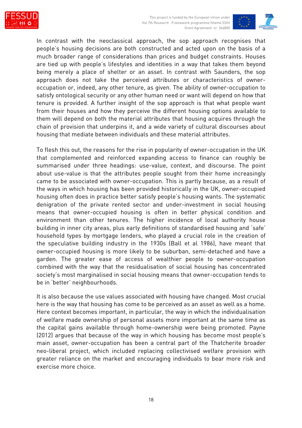

This project is funded by the European Union under the 7th Research Framework programme (theme SSH) Grant Agreement nr 266800



In contrast with the neoclassical approach, the sop approach recognises that people's housing decisions are both constructed and acted upon on the basis of a much broader range of considerations than prices and budget constraints. Houses are tied up with people's lifestyles and identities in a way that takes them beyond being merely a place of shelter or an asset. In contrast with Saunders, the sop approach does not take the perceived attributes or characteristics of owneroccupation or, indeed, any other tenure, as given. The ability of owner-occupation to satisfy ontological security or any other human need or want will depend on how that tenure is provided. A further insight of the sop approach is that what people want from their houses and how they perceive the different housing options available to them will depend on both the material attributes that housing acquires through the chain of provision that underpins it, and a wide variety of cultural discourses about housing that mediate between individuals and these material attributes.

To flesh this out, the reasons for the rise in popularity of owner-occupation in the UK that complemented and reinforced expanding access to finance can roughly be summarised under three headings: use-value, context, and discourse. The point about use-value is that the attributes people sought from their home increasingly came to be associated with owner-occupation. This is partly because, as a result of the ways in which housing has been provided historically in the UK, owner-occupied housing often does in practice better satisfy people's housing wants. The systematic denigration of the private rented sector and under-investment in social housing means that owner-occupied housing is often in better physical condition and environment than other tenures. The higher incidence of local authority house building in inner city areas, plus early definitions of standardised housing and 'safe' household types by mortgage lenders, who played a crucial role in the creation of the speculative building industry in the 1930s (Ball et al 1986), have meant that owner-occupied housing is more likely to be suburban, semi-detached and have a garden. The greater ease of access of wealthier people to owner-occupation combined with the way that the residualisation of social housing has concentrated society's most marginalised in social housing means that owner-occupation tends to be in 'better' neighbourhoods.

It is also because the use values associated with housing have changed. Most crucial here is the way that housing has come to be perceived as an asset as well as a home. Here context becomes important, in particular, the way in which the individualisation of welfare made ownership of personal assets more important at the same time as the capital gains available through home-ownership were being promoted. Payne (2012) argues that because of the way in which housing has become most people's main asset, owner-occupation has been a central part of the Thatcherite broader neo-liberal project, which included replacing collectivised welfare provision with greater reliance on the market and encouraging individuals to bear more risk and exercise more choice.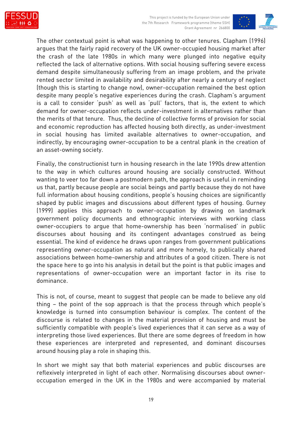

This project is funded by the European Union under the 7th Research Framework programme (theme SSH) Grant Agreement nr 266800



The other contextual point is what was happening to other tenures. Clapham (1996) argues that the fairly rapid recovery of the UK owner-occupied housing market after the crash of the late 1980s in which many were plunged into negative equity reflected the lack of alternative options. With social housing suffering severe excess demand despite simultaneously suffering from an image problem, and the private rented sector limited in availability and desirability after nearly a century of neglect (though this is starting to change now), owner-occupation remained the best option despite many people's negative experiences during the crash. Clapham's argument is a call to consider 'push' as well as 'pull' factors, that is, the extent to which demand for owner-occupation reflects under-investment in alternatives rather than the merits of that tenure. Thus, the decline of collective forms of provision for social and economic reproduction has affected housing both directly, as under-investment in social housing has limited available alternatives to owner-occupation, and indirectly, by encouraging owner-occupation to be a central plank in the creation of an asset-owning society.

Finally, the constructionist turn in housing research in the late 1990s drew attention to the way in which cultures around housing are socially constructed. Without wanting to veer too far down a postmodern path, the approach is useful in reminding us that, partly because people are social beings and partly because they do not have full information about housing conditions, people's housing choices are significantly shaped by public images and discussions about different types of housing. Gurney (1999) applies this approach to owner-occupation by drawing on landmark government policy documents and ethnographic interviews with working class owner-occupiers to argue that home-ownership has been 'normalised' in public discourses about housing and its contingent advantages construed as being essential. The kind of evidence he draws upon ranges from government publications representing owner-occupation as natural and more homely, to publically shared associations between home-ownership and attributes of a good citizen. There is not the space here to go into his analysis in detail but the point is that public images and representations of owner-occupation were an important factor in its rise to dominance.

This is not, of course, meant to suggest that people can be made to believe any old thing – the point of the sop approach is that the process through which people's knowledge is turned into consumption behaviour is complex. The content of the discourse is related to changes in the material provision of housing and must be sufficiently compatible with people's lived experiences that it can serve as a way of interpreting those lived experiences. But there are some degrees of freedom in how these experiences are interpreted and represented, and dominant discourses around housing play a role in shaping this.

In short we might say that both material experiences and public discourses are reflexively interpreted in light of each other. Normalising discourses about owneroccupation emerged in the UK in the 1980s and were accompanied by material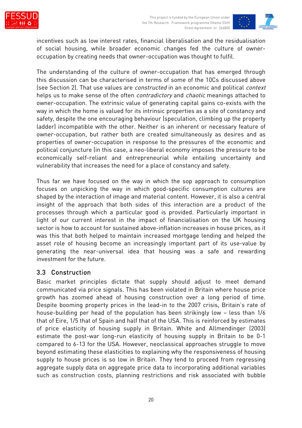

incentives such as low interest rates, financial liberalisation and the residualisation of social housing, while broader economic changes fed the culture of owneroccupation by creating needs that owner-occupation was thought to fulfil.

The understanding of the culture of owner-occupation that has emerged through this discussion can be characterised in terms of some of the 10Cs discussed above (see Section 2). That use values are constructed in an economic and political context helps us to make sense of the often *contradictory* and *chaotic* meanings attached to owner-occupation. The extrinsic value of generating capital gains co-exists with the way in which the home is valued for its intrinsic properties as a site of constancy and safety, despite the one encouraging behaviour (speculation, climbing up the property ladder) incompatible with the other. Neither is an inherent or necessary feature of owner-occupation, but rather both are created simultaneously as desires and as properties of owner-occupation in response to the pressures of the economic and political conjuncture (in this case, a neo-liberal economy imposes the pressure to be economically self-reliant and entrepreneurial while entailing uncertainty and vulnerability that increases the need for a place of constancy and safety.

Thus far we have focused on the way in which the sop approach to consumption focuses on unpicking the way in which good-specific consumption cultures are shaped by the interaction of image and material content. However, it is also a central insight of the approach that both sides of this interaction are a product of the processes through which a particular good is provided. Particularly important in light of our current interest in the impact of financialisation on the UK housing sector is how to account for sustained above-inflation increases in house prices, as it was this that both helped to maintain increased mortgage lending and helped the asset role of housing become an increasingly important part of its use-value by generating the near-universal idea that housing was a safe and rewarding investment for the future.

#### 3.3 Construction

Basic market principles dictate that supply should adjust to meet demand communicated via price signals. This has been violated in Britain where house price growth has zoomed ahead of housing construction over a long period of time. Despite booming property prices in the lead-in to the 2007 crisis, Britain's rate of house-building per head of the population has been strikingly low – less than 1/6 that of Eire, 1/5 that of Spain and half that of the USA. This is reinforced by estimates of price elasticity of housing supply in Britain. White and Allmendinger (2003) estimate the post-war long-run elasticity of housing supply in Britain to be 0-1 compared to 6-13 for the USA. However, neoclassical approaches struggle to move beyond estimating these elasticities to explaining why the responsiveness of housing supply to house prices is so low in Britain. They tend to proceed from regressing aggregate supply data on aggregate price data to incorporating additional variables such as construction costs, planning restrictions and risk associated with bubble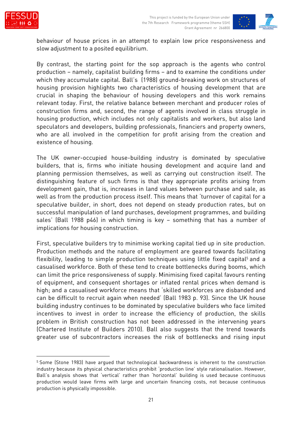



behaviour of house prices in an attempt to explain low price responsiveness and slow adjustment to a posited equilibrium.

By contrast, the starting point for the sop approach is the agents who control production – namely, capitalist building firms – and to examine the conditions under which they accumulate capital. Ball's (1988) ground-breaking work on structures of housing provision highlights two characteristics of housing development that are crucial in shaping the behaviour of housing developers and this work remains relevant today. First, the relative balance between merchant and producer roles of construction firms and, second, the range of agents involved in class struggle in housing production, which includes not only capitalists and workers, but also land speculators and developers, building professionals, financiers and property owners, who are all involved in the competition for profit arising from the creation and existence of housing.

The UK owner-occupied house-building industry is dominated by speculative builders, that is, firms who initiate housing development and acquire land and planning permission themselves, as well as carrying out construction itself. The distinguishing feature of such firms is that they appropriate profits arising from development gain, that is, increases in land values between purchase and sale, as well as from the production process itself. This means that 'turnover of capital for a speculative builder, in short, does not depend on steady production rates, but on successful manipulation of land purchases, development programmes, and building sales' (Ball 1988 p46) in which timing is key – something that has a number of implications for housing construction.

First, speculative builders try to minimise working capital tied up in site production. Production methods and the nature of employment are geared towards facilitating flexibility, leading to simple production techniques using little fixed capital<sup>5</sup> and a casualised workforce. Both of these tend to create bottlenecks during booms, which can limit the price responsiveness of supply. Minimising fixed capital favours renting of equipment, and consequent shortages or inflated rental prices when demand is high; and a casualised workforce means that 'skilled workforces are disbanded and can be difficult to recruit again when needed' (Ball 1983 p. 93). Since the UK house building industry continues to be dominated by speculative builders who face limited incentives to invest in order to increase the efficiency of production, the skills problem in British construction has not been addressed in the intervening years (Chartered Institute of Builders 2010). Ball also suggests that the trend towards greater use of subcontractors increases the risk of bottlenecks and rising input

<sup>5</sup> Some (Stone 1983) have argued that technological backwardness is inherent to the construction industry because its physical characteristics prohibit 'production line' style rationalisation. However, Ball's analysis shows that 'vertical' rather than 'horizontal' building is used because continuous production would leave firms with large and uncertain financing costs, not because continuous production is physically impossible.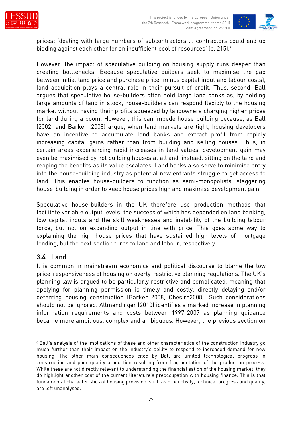



prices: 'dealing with large numbers of subcontractors ... contractors could end up bidding against each other for an insufficient pool of resources' (p. 215).<sup>6</sup>

However, the impact of speculative building on housing supply runs deeper than creating bottlenecks. Because speculative builders seek to maximise the gap between initial land price and purchase price (minus capital input and labour costs), land acquisition plays a central role in their pursuit of profit. Thus, second, Ball argues that speculative house-builders often hold large land banks as, by holding large amounts of land in stock, house-builders can respond flexibly to the housing market without having their profits squeezed by landowners charging higher prices for land during a boom. However, this can impede house-building because, as Ball (2002) and Barker (2008) argue, when land markets are tight, housing developers have an incentive to accumulate land banks and extract profit from rapidly increasing capital gains rather than from building and selling houses. Thus, in certain areas experiencing rapid increases in land values, development gain may even be maximised by not building houses at all and, instead, sitting on the land and reaping the benefits as its value escalates. Land banks also serve to minimise entry into the house-building industry as potential new entrants struggle to get access to land. This enables house-builders to function as semi-monopolists, staggering house-building in order to keep house prices high and maximise development gain.

Speculative house-builders in the UK therefore use production methods that facilitate variable output levels, the success of which has depended on land banking, low capital inputs and the skill weaknesses and instability of the building labour force, but not on expanding output in line with price. This goes some way to explaining the high house prices that have sustained high levels of mortgage lending, but the next section turns to land and labour, respectively.

#### 3.4 Land

It is common in mainstream economics and political discourse to blame the low price-responsiveness of housing on overly-restrictive planning regulations. The UK's planning law is argued to be particularly restrictive and complicated, meaning that applying for planning permission is timely and costly, directly delaying and/or deterring housing construction (Barker 2008, Chesire2008). Such considerations should not be ignored. Allmendinger (2010) identifies a marked increase in planning information requirements and costs between 1997-2007 as planning guidance became more ambitious, complex and ambiguous. However, the previous section on

<sup>6</sup> Ball's analysis of the implications of these and other characteristics of the construction industry go much further than their impact on the industry's ability to respond to increased demand for new housing. The other main consequences cited by Ball are limited technological progress in construction and poor quality production resulting from fragmentation of the production process. While these are not directly relevant to understanding the financialisation of the housing market, they do highlight another cost of the current literature's preoccupation with housing finance. This is that fundamental characteristics of housing provision, such as productivity, technical progress and quality, are left unanalysed.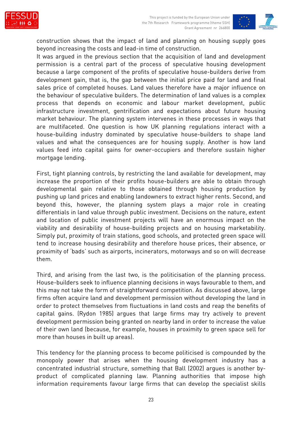



construction shows that the impact of land and planning on housing supply goes beyond increasing the costs and lead-in time of construction.

It was argued in the previous section that the acquisition of land and development permission is a central part of the process of speculative housing development because a large component of the profits of speculative house-builders derive from development gain, that is, the gap between the initial price paid for land and final sales price of completed houses. Land values therefore have a major influence on the behaviour of speculative builders. The determination of land values is a complex process that depends on economic and labour market development, public infrastructure investment, gentrification and expectations about future housing market behaviour. The planning system intervenes in these processes in ways that are multifaceted. One question is how UK planning regulations interact with a house-building industry dominated by speculative house-builders to shape land values and what the consequences are for housing supply. Another is how land values feed into capital gains for owner-occupiers and therefore sustain higher mortgage lending.

First, tight planning controls, by restricting the land available for development, may increase the proportion of their profits house-builders are able to obtain through developmental gain relative to those obtained through housing production by pushing up land prices and enabling landowners to extract higher rents. Second, and beyond this, however, the planning system plays a major role in creating differentials in land value through public investment. Decisions on the nature, extent and location of public investment projects will have an enormous impact on the viability and desirability of house-building projects and on housing marketability. Simply put, proximity of train stations, good schools, and protected green space will tend to increase housing desirability and therefore house prices, their absence, or proximity of 'bads' such as airports, incinerators, motorways and so on will decrease them.

Third, and arising from the last two, is the politicisation of the planning process. House-builders seek to influence planning decisions in ways favourable to them, and this may not take the form of straightforward competition. As discussed above, large firms often acquire land and development permission without developing the land in order to protect themselves from fluctuations in land costs and reap the benefits of capital gains. (Rydon 1985) argues that large firms may try actively to prevent development permission being granted on nearby land in order to increase the value of their own land (because, for example, houses in proximity to green space sell for more than houses in built up areas).

This tendency for the planning process to become politicised is compounded by the monopoly power that arises when the housing development industry has a concentrated industrial structure, something that Ball (2002) argues is another byproduct of complicated planning law. Planning authorities that impose high information requirements favour large firms that can develop the specialist skills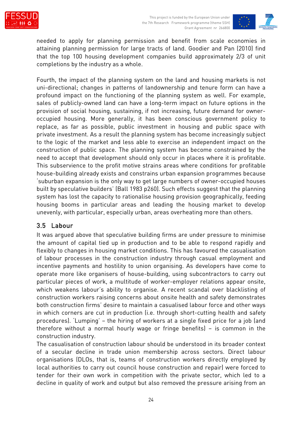



needed to apply for planning permission and benefit from scale economies in attaining planning permission for large tracts of land. Goodier and Pan (2010) find that the top 100 housing development companies build approximately 2/3 of unit completions by the industry as a whole.

Fourth, the impact of the planning system on the land and housing markets is not uni-directional; changes in patterns of landownership and tenure form can have a profound impact on the functioning of the planning system as well. For example, sales of publicly-owned land can have a long-term impact on future options in the provision of social housing, sustaining, if not increasing, future demand for owneroccupied housing. More generally, it has been conscious government policy to replace, as far as possible, public investment in housing and public space with private investment. As a result the planning system has become increasingly subject to the logic of the market and less able to exercise an independent impact on the construction of public space. The planning system has become constrained by the need to accept that development should only occur in places where it is profitable. This subservience to the profit motive strains areas where conditions for profitable house-building already exists and constrains urban expansion programmes because 'suburban expansion is the only way to get large numbers of owner-occupied houses built by speculative builders' (Ball 1983 p260). Such effects suggest that the planning system has lost the capacity to rationalise housing provision geographically, feeding housing booms in particular areas and leading the housing market to develop unevenly, with particular, especially urban, areas overheating more than others.

#### 3.5 Labour

It was argued above that speculative building firms are under pressure to minimise the amount of capital tied up in production and to be able to respond rapidly and flexibly to changes in housing market conditions. This has favoured the casualisation of labour processes in the construction industry through casual employment and incentive payments and hostility to union organising. As developers have come to operate more like organisers of house-building, using subcontractors to carry out particular pieces of work, a multitude of worker-employer relations appear onsite, which weakens labour's ability to organise. A recent scandal over blacklisting of construction workers raising concerns about onsite health and safety demonstrates both construction firms' desire to maintain a casualised labour force and other ways in which corners are cut in production (i.e. through short-cutting health and safety procedures). 'Lumping' – the hiring of workers at a single fixed price for a job (and therefore without a normal hourly wage or fringe benefits) – is common in the construction industry.

The casualisation of construction labour should be understood in its broader context of a secular decline in trade union membership across sectors. Direct labour organisations (DLOs, that is, teams of construction workers directly employed by local authorities to carry out council house construction and repair) were forced to tender for their own work in competition with the private sector, which led to a decline in quality of work and output but also removed the pressure arising from an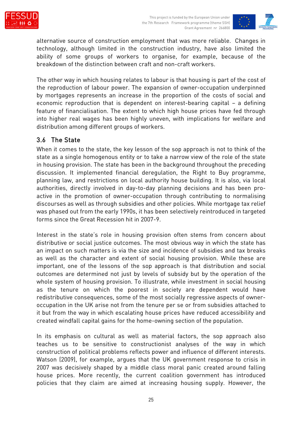

alternative source of construction employment that was more reliable. Changes in technology, although limited in the construction industry, have also limited the ability of some groups of workers to organise, for example, because of the breakdown of the distinction between craft and non-craft workers.

The other way in which housing relates to labour is that housing is part of the cost of the reproduction of labour power. The expansion of owner-occupation underpinned by mortgages represents an increase in the proportion of the costs of social and economic reproduction that is dependent on interest-bearing capital – a defining feature of financialisation. The extent to which high house prices have fed through into higher real wages has been highly uneven, with implications for welfare and distribution among different groups of workers.

### 3.6 The State

When it comes to the state, the key lesson of the sop approach is not to think of the state as a single homogenous entity or to take a narrow view of the role of the state in housing provision. The state has been in the background throughout the preceding discussion. It implemented financial deregulation, the Right to Buy programme, planning law, and restrictions on local authority house building. It is also, via local authorities, directly involved in day-to-day planning decisions and has been proactive in the promotion of owner-occupation through contributing to normalising discourses as well as through subsidies and other policies. While mortgage tax relief was phased out from the early 1990s, it has been selectively reintroduced in targeted forms since the Great Recession hit in 2007-9.

Interest in the state's role in housing provision often stems from concern about distributive or social justice outcomes. The most obvious way in which the state has an impact on such matters is via the size and incidence of subsidies and tax breaks as well as the character and extent of social housing provision. While these are important, one of the lessons of the sop approach is that distribution and social outcomes are determined not just by levels of subsidy but by the operation of the whole system of housing provision. To illustrate, while investment in social housing as the tenure on which the poorest in society are dependent would have redistributive consequences, some of the most socially regressive aspects of owneroccupation in the UK arise not from the tenure per se or from subsidies attached to it but from the way in which escalating house prices have reduced accessibility and created windfall capital gains for the home-owning section of the population.

In its emphasis on cultural as well as material factors, the sop approach also teaches us to be sensitive to constructionist analyses of the way in which construction of political problems reflects power and influence of different interests. Watson (2009), for example, argues that the UK government response to crisis in 2007 was decisively shaped by a middle class moral panic created around falling house prices. More recently, the current coalition government has introduced policies that they claim are aimed at increasing housing supply. However, the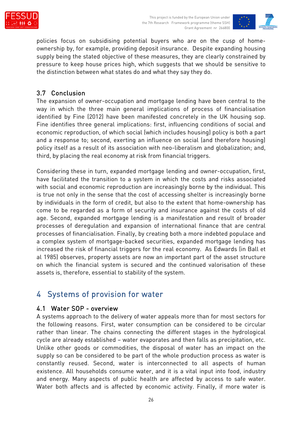



policies focus on subsidising potential buyers who are on the cusp of homeownership by, for example, providing deposit insurance. Despite expanding housing supply being the stated objective of these measures, they are clearly constrained by pressure to keep house prices high, which suggests that we should be sensitive to the distinction between what states do and what they say they do.

### 3.7 Conclusion

The expansion of owner-occupation and mortgage lending have been central to the way in which the three main general implications of process of financialisation identified by Fine (2012) have been manifested concretely in the UK housing sop. Fine identifies three general implications: first, influencing conditions of social and economic reproduction, of which social (which includes housing) policy is both a part and a response to; second, exerting an influence on social (and therefore housing) policy itself as a result of its association with neo-liberalism and globalization; and, third, by placing the real economy at risk from financial triggers.

Considering these in turn, expanded mortgage lending and owner-occupation, first, have facilitated the transition to a system in which the costs and risks associated with social and economic reproduction are increasingly borne by the individual. This is true not only in the sense that the cost of accessing shelter is increasingly borne by individuals in the form of credit, but also to the extent that home-ownership has come to be regarded as a form of security and insurance against the costs of old age. Second, expanded mortgage lending is a manifestation and result of broader processes of deregulation and expansion of international finance that are central processes of financialisation. Finally, by creating both a more indebted populace and a complex system of mortgage-backed securities, expanded mortgage lending has increased the risk of financial triggers for the real economy. As Edwards (in Ball et al 1985) observes, property assets are now an important part of the asset structure on which the financial system is secured and the continued valorisation of these assets is, therefore, essential to stability of the system.

## 4 Systems of provision for water

#### 4.1 Water SOP - overview

A systems approach to the delivery of water appeals more than for most sectors for the following reasons. First, water consumption can be considered to be circular rather than linear. The chains connecting the different stages in the hydrological cycle are already established – water evaporates and then falls as precipitation, etc. Unlike other goods or commodities, the disposal of water has an impact on the supply so can be considered to be part of the whole production process as water is constantly reused. Second, water is interconnected to all aspects of human existence. All households consume water, and it is a vital input into food, industry and energy. Many aspects of public health are affected by access to safe water. Water both affects and is affected by economic activity. Finally, if more water is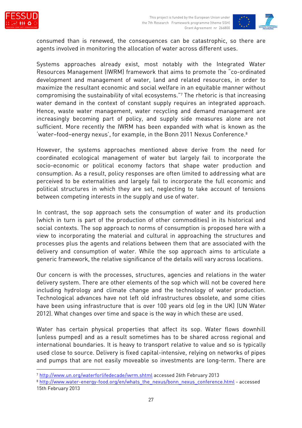



consumed than is renewed, the consequences can be catastrophic, so there are agents involved in monitoring the allocation of water across different uses.

Systems approaches already exist, most notably with the Integrated Water Resources Management (IWRM) framework that aims to promote the "co-ordinated development and management of water, land and related resources, in order to maximize the resultant economic and social welfare in an equitable manner without compromising the sustainability of vital ecosystems."<sup>7</sup> The rhetoric is that increasing water demand in the context of constant supply requires an integrated approach. Hence, waste water management, water recycling and demand management are increasingly becoming part of policy, and supply side measures alone are not sufficient. More recently the IWRM has been expanded with what is known as the 'water–food–energy nexus', for example, in the Bonn 2011 Nexus Conference.<sup>8</sup>

However, the systems approaches mentioned above derive from the need for coordinated ecological management of water but largely fail to incorporate the socio-economic or political economy factors that shape water production and consumption. As a result, policy responses are often limited to addressing what are perceived to be externalities and largely fail to incorporate the full economic and political structures in which they are set, neglecting to take account of tensions between competing interests in the supply and use of water.

In contrast, the sop approach sets the consumption of water and its production (which in turn is part of the production of other commodities) in its historical and social contexts. The sop approach to norms of consumption is proposed here with a view to incorporating the material and cultural in approaching the structures and processes plus the agents and relations between them that are associated with the delivery and consumption of water. While the sop approach aims to articulate a generic framework, the relative significance of the details will vary across locations.

Our concern is with the processes, structures, agencies and relations in the water delivery system. There are other elements of the sop which will not be covered here including hydrology and climate change and the technology of water production. Technological advances have not left old infrastructures obsolete, and some cities have been using infrastructure that is over 100 years old (eg in the UK) (UN Water 2012). What changes over time and space is the way in which these are used.

Water has certain physical properties that affect its sop. Water flows downhill (unless pumped) and as a result sometimes has to be shared across regional and international boundaries. It is heavy to transport relative to value and so is typically used close to source. Delivery is fixed capital-intensive, relying on networks of pipes and pumps that are not easily moveable so investments are long-term. There are

<sup>7</sup> http://www.un.org/waterforlifedecade/iwrm.shtml accessed 26th February 2013

<sup>&</sup>lt;sup>8</sup> http://www.water-energy-food.org/en/whats\_the\_nexus/bonn\_nexus\_conference.html - accessed 15th February 2013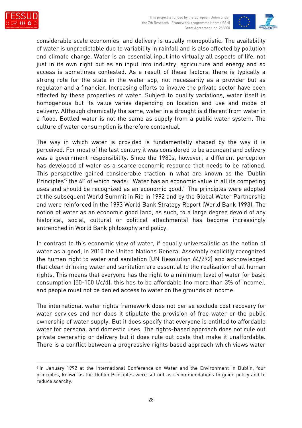



considerable scale economies, and delivery is usually monopolistic. The availability of water is unpredictable due to variability in rainfall and is also affected by pollution and climate change. Water is an essential input into virtually all aspects of life, not just in its own right but as an input into industry, agriculture and energy and so access is sometimes contested. As a result of these factors, there is typically a strong role for the state in the water sop, not necessarily as a provider but as regulator and a financier. Increasing efforts to involve the private sector have been affected by these properties of water. Subject to quality variations, water itself is homogenous but its value varies depending on location and use and mode of delivery. Although chemically the same, water in a drought is different from water in a flood. Bottled water is not the same as supply from a public water system. The culture of water consumption is therefore contextual.

The way in which water is provided is fundamentally shaped by the way it is perceived. For most of the last century it was considered to be abundant and delivery was a government responsibility. Since the 1980s, however, a different perception has developed of water as a scarce economic resource that needs to be rationed. This perspective gained considerable traction in what are known as the 'Dublin Principles<sup>'9</sup> the 4<sup>th</sup> of which reads: "Water has an economic value in all its competing uses and should be recognized as an economic good." The principles were adopted at the subsequent World Summit in Rio in 1992 and by the Global Water Partnership and were reinforced in the 1993 World Bank Strategy Report (World Bank 1993). The notion of water as an economic good (and, as such, to a large degree devoid of any historical, social, cultural or political attachments) has become increasingly entrenched in World Bank philosophy and policy.

In contrast to this economic view of water, if equally universalistic as the notion of water as a good, in 2010 the United Nations General Assembly explicitly recognized the human right to water and sanitation (UN Resolution 64/292) and acknowledged that clean drinking water and sanitation are essential to the realisation of all human rights. This means that everyone has the right to a minimum level of water for basic consumption (50-100 l/c/d), this has to be affordable (no more than 3% of income), and people must not be denied access to water on the grounds of income.

The international water rights framework does not per se exclude cost recovery for water services and nor does it stipulate the provision of free water or the public ownership of water supply. But it does specify that everyone is entitled to affordable water for personal and domestic uses. The rights-based approach does not rule out private ownership or delivery but it does rule out costs that make it unaffordable. There is a conflict between a progressive rights based approach which views water

<sup>9</sup> In January 1992 at the International Conference on Water and the Environment in Dublin, four principles, known as the Dublin Principles were set out as recommendations to guide policy and to reduce scarcity.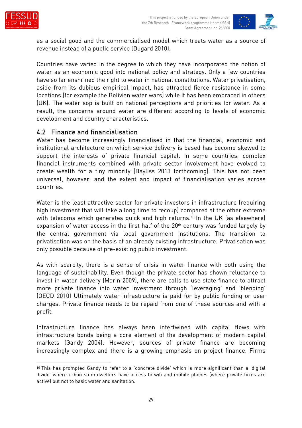



as a social good and the commercialised model which treats water as a source of revenue instead of a public service (Dugard 2010).

Countries have varied in the degree to which they have incorporated the notion of water as an economic good into national policy and strategy. Only a few countries have so far enshrined the right to water in national constitutions. Water privatisation, aside from its dubious empirical impact, has attracted fierce resistance in some locations (for example the Bolivian water wars) while it has been embraced in others (UK). The water sop is built on national perceptions and priorities for water. As a result, the concerns around water are different according to levels of economic development and country characteristics.

#### 4.2 Finance and financialisation

Water has become increasingly financialised in that the financial, economic and institutional architecture on which service delivery is based has become skewed to support the interests of private financial capital. In some countries, complex financial instruments combined with private sector involvement have evolved to create wealth for a tiny minority (Bayliss 2013 forthcoming). This has not been universal, however, and the extent and impact of financialisation varies across countries.

Water is the least attractive sector for private investors in infrastructure (requiring high investment that will take a long time to recoup) compared at the other extreme with telecoms which generates quick and high returns.<sup>10</sup> In the UK (as elsewhere) expansion of water access in the first half of the 20<sup>th</sup> century was funded largely by the central government via local government institutions. The transition to privatisation was on the basis of an already existing infrastructure. Privatisation was only possible because of pre-existing public investment.

As with scarcity, there is a sense of crisis in water finance with both using the language of sustainability. Even though the private sector has shown reluctance to invest in water delivery (Marin 2009), there are calls to use state finance to attract more private finance into water investment through 'leveraging' and 'blending' (OECD 2010) Ultimately water infrastructure is paid for by public funding or user charges. Private finance needs to be repaid from one of these sources and with a profit.

Infrastructure finance has always been intertwined with capital flows with infrastructure bonds being a core element of the development of modern capital markets (Gandy 2004). However, sources of private finance are becoming increasingly complex and there is a growing emphasis on project finance. Firms

<sup>10</sup> This has prompted Gandy to refer to a 'concrete divide' which is more significant than a 'digital divide' where urban slum dwellers have access to wifi and mobile phones (where private firms are active) but not to basic water and sanitation.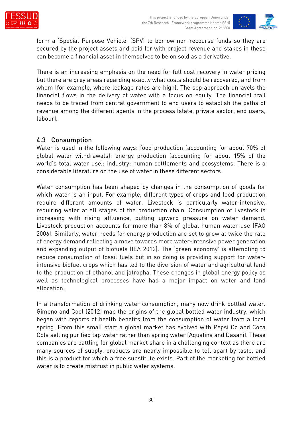



form a 'Special Purpose Vehicle' (SPV) to borrow non-recourse funds so they are secured by the project assets and paid for with project revenue and stakes in these can become a financial asset in themselves to be on sold as a derivative.

There is an increasing emphasis on the need for full cost recovery in water pricing but there are grey areas regarding exactly what costs should be recovered, and from whom (for example, where leakage rates are high). The sop approach unravels the financial flows in the delivery of water with a focus on equity. The financial trail needs to be traced from central government to end users to establish the paths of revenue among the different agents in the process (state, private sector, end users, labour).

#### 4.3 Consumption

Water is used in the following ways: food production (accounting for about 70% of global water withdrawals); energy production (accounting for about 15% of the world's total water use); industry; human settlements and ecosystems. There is a considerable literature on the use of water in these different sectors.

Water consumption has been shaped by changes in the consumption of goods for which water is an input. For example, different types of crops and food production require different amounts of water. Livestock is particularly water-intensive, requiring water at all stages of the production chain. Consumption of livestock is increasing with rising affluence, putting upward pressure on water demand. Livestock production accounts for more than 8% of global human water use (FAO 2006). Similarly, water needs for energy production are set to grow at twice the rate of energy demand reflecting a move towards more water-intensive power generation and expanding output of biofuels (IEA 2012). The 'green economy' is attempting to reduce consumption of fossil fuels but in so doing is providing support for waterintensive biofuel crops which has led to the diversion of water and agricultural land to the production of ethanol and jatropha. These changes in global energy policy as well as technological processes have had a major impact on water and land allocation.

In a transformation of drinking water consumption, many now drink bottled water. Gimeno and Cool (2012) map the origins of the global bottled water industry, which began with reports of health benefits from the consumption of water from a local spring. From this small start a global market has evolved with Pepsi Co and Coca Cola selling purified tap water rather than spring water (Aquafina and Dasani). These companies are battling for global market share in a challenging context as there are many sources of supply, products are nearly impossible to tell apart by taste, and this is a product for which a free substitute exists. Part of the marketing for bottled water is to create mistrust in public water systems.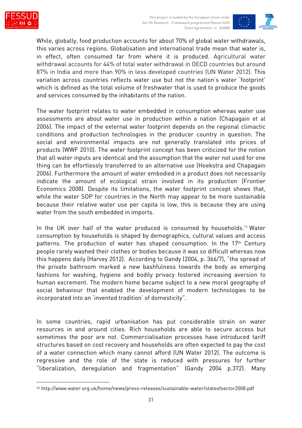



While, globally, food production accounts for about 70% of global water withdrawals, this varies across regions. Globalisation and international trade mean that water is, in effect, often consumed far from where it is produced. Agricultural water withdrawal accounts for 44% of total water withdrawal in OECD countries but around 87% in India and more than 90% in less developed countries (UN Water 2012). This variation across countries reflects water use but not the nation's water 'footprint' which is defined as the total volume of freshwater that is used to produce the goods and services consumed by the inhabitants of the nation.

The water footprint relates to water embedded in consumption whereas water use assessments are about water use in production within a nation (Chapagain et al 2006). The impact of the external water footprint depends on the regional climactic conditions and production technologies in the producer country in question. The social and environmental impacts are not generally translated into prices of products (WWF 2010). The water footprint concept has been criticized for the notion that all water inputs are identical and the assumption that the water not used for one thing can be effortlessly transferred to an alternative use (Hoekstra and Chapagain 2006). Furthermore the amount of water embodied in a product does not necessarily indicate the amount of ecological strain involved in its production (Frontier Economics 2008). Despite its limitations, the water footprint concept shows that, while the water SOP for countries in the North may appear to be more sustainable because their relative water use per capita is low, this is because they are using water from the south embedded in imports.

In the UK over half of the water produced is consumed by households.<sup>11</sup> Water consumption by households is shaped by demographics, cultural values and access patterns. The production of water has shaped consumption. In the 17<sup>th</sup> Century people rarely washed their clothes or bodies because it was so difficult whereas now this happens daily (Harvey 2012). According to Gandy (2004, p. 366/7), "the spread of the private bathroom marked a new bashfulness towards the body as emerging fashions for washing, hygiene and bodily privacy fostered increasing aversion to human excrement. The modern home became subject to a new moral geography of social behaviour that enabled the development of modern technologies to be incorporated into an 'invented tradition' of domesticity".

In some countries, rapid urbanisation has put considerable strain on water resources in and around cities. Rich households are able to secure access but sometimes the poor are not. Commercialisation processes have introduced tariff structures based on cost recovery and households are often expected to pay the cost of a water connection which many cannot afford (UN Water 2012). The outcome is regressive and the role of the state is reduced with pressures for further "liberalization, deregulation and fragmentation" (Gandy 2004 p.372). Many

<sup>11</sup> http://www.water.org.uk/home/news/press-releases/sustainable-water/stateofsector2008.pdf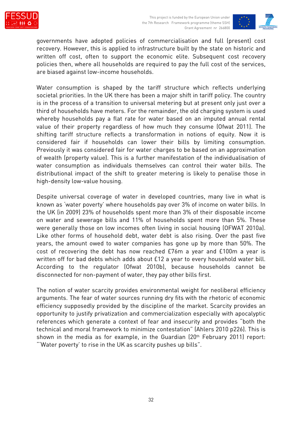



governments have adopted policies of commercialisation and full (present) cost recovery. However, this is applied to infrastructure built by the state on historic and written off cost, often to support the economic elite. Subsequent cost recovery policies then, where all households are required to pay the full cost of the services, are biased against low-income households.

Water consumption is shaped by the tariff structure which reflects underlying societal priorities. In the UK there has been a major shift in tariff policy. The country is in the process of a transition to universal metering but at present only just over a third of households have meters. For the remainder, the old charging system is used whereby households pay a flat rate for water based on an imputed annual rental value of their property regardless of how much they consume (Ofwat 2011). The shifting tariff structure reflects a transformation in notions of equity. Now it is considered fair if households can lower their bills by limiting consumption. Previously it was considered fair for water charges to be based on an approximation of wealth (property value). This is a further manifestation of the individualisation of water consumption as individuals themselves can control their water bills. The distributional impact of the shift to greater metering is likely to penalise those in high-density low-value housing.

Despite universal coverage of water in developed countries, many live in what is known as 'water poverty' where households pay over 3% of income on water bills. In the UK (in 2009) 23% of households spent more than 3% of their disposable income on water and sewerage bills and 11% of households spent more than 5%. These were generally those on low incomes often living in social housing (OFWAT 2010a). Like other forms of household debt, water debt is also rising. Over the past five years, the amount owed to water companies has gone up by more than 50%. The cost of recovering the debt has now reached £76m a year and £100m a year is written off for bad debts which adds about £12 a year to every household water bill. According to the regulator (Ofwat 2010b), because households cannot be disconnected for non-payment of water, they pay other bills first.

The notion of water scarcity provides environmental weight for neoliberal efficiency arguments. The fear of water sources running dry fits with the rhetoric of economic efficiency supposedly provided by the discipline of the market. Scarcity provides an opportunity to justify privatization and commercialization especially with apocalyptic references which generate a context of fear and insecurity and provides "both the technical and moral framework to minimize contestation" (Ahlers 2010 p226). This is shown in the media as for example, in the Guardian (20th February 2011) report: "'Water poverty' to rise in the UK as scarcity pushes up bills".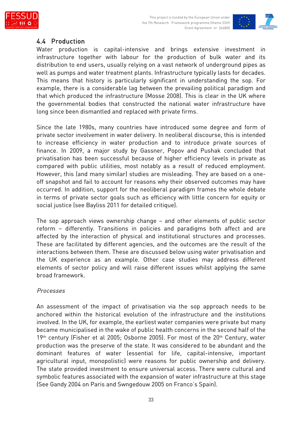





#### 4.4 Production

Water production is capital-intensive and brings extensive investment in infrastructure together with labour for the production of bulk water and its distribution to end users, usually relying on a vast network of underground pipes as well as pumps and water treatment plants. Infrastructure typically lasts for decades. This means that history is particularly significant in understanding the sop. For example, there is a considerable lag between the prevailing political paradigm and that which produced the infrastructure (Mosse 2008). This is clear in the UK where the governmental bodies that constructed the national water infrastructure have long since been dismantled and replaced with private firms.

Since the late 1980s, many countries have introduced some degree and form of private sector involvement in water delivery. In neoliberal discourse, this is intended to increase efficiency in water production and to introduce private sources of finance. In 2009, a major study by Gassner, Popov and Pushak concluded that privatisation has been successful because of higher efficiency levels in private as compared with public utilities, most notably as a result of reduced employment. However, this (and many similar) studies are misleading. They are based on a oneoff snapshot and fail to account for reasons why their observed outcomes may have occurred. In addition, support for the neoliberal paradigm frames the whole debate in terms of private sector goals such as efficiency with little concern for equity or social justice (see Bayliss 2011 for detailed critique).

The sop approach views ownership change – and other elements of public sector reform – differently. Transitions in policies and paradigms both affect and are affected by the interaction of physical and institutional structures and processes. These are facilitated by different agencies, and the outcomes are the result of the interactions between them. These are discussed below using water privatisation and the UK experience as an example. Other case studies may address different elements of sector policy and will raise different issues whilst applying the same broad framework.

#### Processes

An assessment of the impact of privatisation via the sop approach needs to be anchored within the historical evolution of the infrastructure and the institutions involved. In the UK, for example, the earliest water companies were private but many became municipalised in the wake of public health concerns in the second half of the  $19<sup>th</sup>$  century (Fisher et al 2005; Osborne 2005). For most of the  $20<sup>th</sup>$  Century, water production was the preserve of the state. It was considered to be abundant and the dominant features of water (essential for life, capital-intensive, important agricultural input, monopolistic) were reasons for public ownership and delivery. The state provided investment to ensure universal access. There were cultural and symbolic features associated with the expansion of water infrastructure at this stage (See Gandy 2004 on Paris and Swngedouw 2005 on Franco's Spain).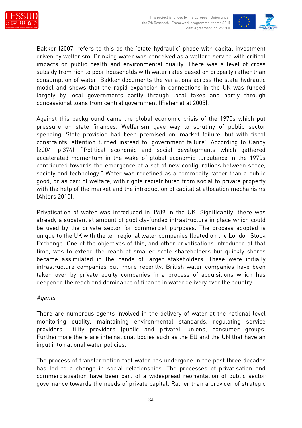



Bakker (2007) refers to this as the 'state-hydraulic' phase with capital investment driven by welfarism. Drinking water was conceived as a welfare service with critical impacts on public health and environmental quality. There was a level of cross subsidy from rich to poor households with water rates based on property rather than consumption of water. Bakker documents the variations across the state-hydraulic model and shows that the rapid expansion in connections in the UK was funded largely by local governments partly through local taxes and partly through concessional loans from central government (Fisher et al 2005).

Against this background came the global economic crisis of the 1970s which put pressure on state finances. Welfarism gave way to scrutiny of public sector spending. State provision had been premised on 'market failure' but with fiscal constraints, attention turned instead to 'government failure'. According to Gandy (2004, p.374): "Political economic and social developments which gathered accelerated momentum in the wake of global economic turbulence in the 1970s contributed towards the emergence of a set of new configurations between space, society and technology." Water was redefined as a commodity rather than a public good, or as part of welfare, with rights redistributed from social to private property with the help of the market and the introduction of capitalist allocation mechanisms (Ahlers 2010).

Privatisation of water was introduced in 1989 in the UK. Significantly, there was already a substantial amount of publicly-funded infrastructure in place which could be used by the private sector for commercial purposes. The process adopted is unique to the UK with the ten regional water companies floated on the London Stock Exchange. One of the objectives of this, and other privatisations introduced at that time, was to extend the reach of smaller scale shareholders but quickly shares became assimilated in the hands of larger stakeholders. These were initially infrastructure companies but, more recently, British water companies have been taken over by private equity companies in a process of acquisitions which has deepened the reach and dominance of finance in water delivery over the country.

#### Agents

There are numerous agents involved in the delivery of water at the national level monitoring quality, maintaining environmental standards, regulating service providers, utility providers (public and private), unions, consumer groups. Furthermore there are international bodies such as the EU and the UN that have an input into national water policies.

The process of transformation that water has undergone in the past three decades has led to a change in social relationships. The processes of privatisation and commercialisation have been part of a widespread reorientation of public sector governance towards the needs of private capital. Rather than a provider of strategic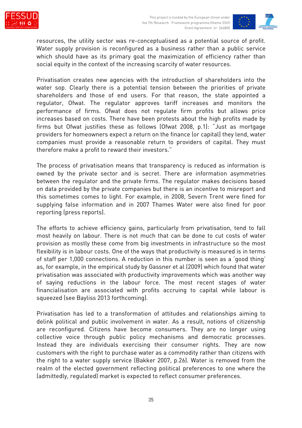



resources, the utility sector was re-conceptualised as a potential source of profit. Water supply provision is reconfigured as a business rather than a public service which should have as its primary goal the maximization of efficiency rather than social equity in the context of the increasing scarcity of water resources.

Privatisation creates new agencies with the introduction of shareholders into the water sop. Clearly there is a potential tension between the priorities of private shareholders and those of end users. For that reason, the state appointed a regulator, Ofwat. The regulator approves tariff increases and monitors the performance of firms. Ofwat does not regulate firm profits but allows price increases based on costs. There have been protests about the high profits made by firms but Ofwat justifies these as follows (Ofwat 2008, p.1): "Just as mortgage providers for homeowners expect a return on the finance (or capital) they lend, water companies must provide a reasonable return to providers of capital. They must therefore make a profit to reward their investors."

The process of privatisation means that transparency is reduced as information is owned by the private sector and is secret. There are information asymmetries between the regulator and the private firms. The regulator makes decisions based on data provided by the private companies but there is an incentive to misreport and this sometimes comes to light. For example, in 2008, Severn Trent were fined for supplying false information and in 2007 Thames Water were also fined for poor reporting (press reports).

The efforts to achieve efficiency gains, particularly from privatisation, tend to fall most heavily on labour. There is not much that can be done to cut costs of water provision as mostly these come from big investments in infrastructure so the most flexibility is in labour costs. One of the ways that productivity is measured is in terms of staff per 1,000 connections. A reduction in this number is seen as a 'good thing' as, for example, in the empirical study by Gassner et al (2009) which found that water privatisation was associated with productivity improvements which was another way of saying reductions in the labour force. The most recent stages of water financialisation are associated with profits accruing to capital while labour is squeezed (see Bayliss 2013 forthcoming).

Privatisation has led to a transformation of attitudes and relationships aiming to delink political and public involvement in water. As a result, notions of citizenship are reconfigured. Citizens have become consumers. They are no longer using collective voice through public policy mechanisms and democratic processes. Instead they are individuals exercising their consumer rights. They are now customers with the right to purchase water as a commodity rather than citizens with the right to a water supply service (Bakker 2007, p.26). Water is removed from the realm of the elected government reflecting political preferences to one where the (admittedly, regulated) market is expected to reflect consumer preferences.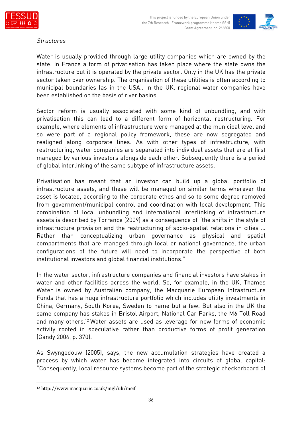



#### **Structures**

Water is usually provided through large utility companies which are owned by the state. In France a form of privatisation has taken place where the state owns the infrastructure but it is operated by the private sector. Only in the UK has the private sector taken over ownership. The organisation of these utilities is often according to municipal boundaries (as in the USA). In the UK, regional water companies have been established on the basis of river basins.

Sector reform is usually associated with some kind of unbundling, and with privatisation this can lead to a different form of horizontal restructuring. For example, where elements of infrastructure were managed at the municipal level and so were part of a regional policy framework, these are now segregated and realigned along corporate lines. As with other types of infrastructure, with restructuring, water companies are separated into individual assets that are at first managed by various investors alongside each other. Subsequently there is a period of global interlinking of the same subtype of infrastructure assets.

Privatisation has meant that an investor can build up a global portfolio of infrastructure assets, and these will be managed on similar terms wherever the asset is located, according to the corporate ethos and so to some degree removed from government/municipal control and coordination with local development. This combination of local unbundling and international interlinking of infrastructure assets is described by Torrance (2009) as a consequence of "the shifts in the style of infrastructure provision and the restructuring of socio-spatial relations in cities … Rather than conceptualizing urban governance as physical and spatial compartments that are managed through local or national governance, the urban configurations of the future will need to incorporate the perspective of both institutional investors and global financial institutions."

In the water sector, infrastructure companies and financial investors have stakes in water and other facilities across the world. So, for example, in the UK, Thames Water is owned by Australian company, the Macquarie European Infrastructure Funds that has a huge infrastructure portfolio which includes utility investments in China, Germany, South Korea, Sweden to name but a few. But also in the UK the same company has stakes in Bristol Airport, National Car Parks, the M6 Toll Road and many others.<sup>12</sup> Water assets are used as leverage for new forms of economic activity rooted in speculative rather than productive forms of profit generation (Gandy 2004, p. 370).

As Swyngedouw (2005), says, the new accumulation strategies have created a process by which water has become integrated into circuits of global capital: "Consequently, local resource systems become part of the strategic checkerboard of

<sup>12</sup> http://www.macquarie.co.uk/mgl/uk/meif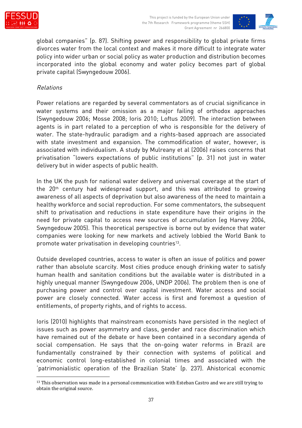



global companies" (p. 87). Shifting power and responsibility to global private firms divorces water from the local context and makes it more difficult to integrate water policy into wider urban or social policy as water production and distribution becomes incorporated into the global economy and water policy becomes part of global private capital (Swyngedouw 2006).

#### Relations

Power relations are regarded by several commentators as of crucial significance in water systems and their omission as a major failing of orthodox approaches (Swyngedouw 2006; Mosse 2008; Ioris 2010; Loftus 2009). The interaction between agents is in part related to a perception of who is responsible for the delivery of water. The state-hydraulic paradigm and a rights-based approach are associated with state investment and expansion. The commodification of water, however, is associated with individualism. A study by Mulreany et al (2006) raises concerns that privatisation "lowers expectations of public institutions" (p. 31) not just in water delivery but in wider aspects of public health.

In the UK the push for national water delivery and universal coverage at the start of the 20<sup>th</sup> century had widespread support, and this was attributed to growing awareness of all aspects of deprivation but also awareness of the need to maintain a healthy workforce and social reproduction. For some commentators, the subsequent shift to privatisation and reductions in state expenditure have their origins in the need for private capital to access new sources of accumulation (eg Harvey 2004, Swyngedouw 2005). This theoretical perspective is borne out by evidence that water companies were looking for new markets and actively lobbied the World Bank to promote water privatisation in developing countries<sup>13</sup>.

Outside developed countries, access to water is often an issue of politics and power rather than absolute scarcity. Most cities produce enough drinking water to satisfy human health and sanitation conditions but the available water is distributed in a highly unequal manner (Swyngedouw 2006, UNDP 2006). The problem then is one of purchasing power and control over capital investment. Water access and social power are closely connected. Water access is first and foremost a question of entitlements, of property rights, and of rights to access.

Ioris (2010) highlights that mainstream economists have persisted in the neglect of issues such as power asymmetry and class, gender and race discrimination which have remained out of the debate or have been contained in a secondary agenda of social compensation. He says that the on-going water reforms in Brazil are fundamentally constrained by their connection with systems of political and economic control long-established in colonial times and associated with the 'patrimonialistic operation of the Brazilian State' (p. 237). Ahistorical economic

<sup>&</sup>lt;sup>13</sup> This observation was made in a personal communication with Esteban Castro and we are still trying to obtain the original source.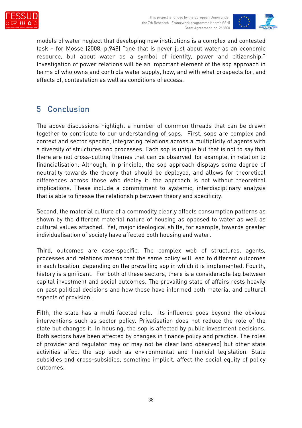



models of water neglect that developing new institutions is a complex and contested task – for Mosse (2008, p.948) "one that is never just about water as an economic resource, but about water as a symbol of identity, power and citizenship." Investigation of power relations will be an important element of the sop approach in terms of who owns and controls water supply, how, and with what prospects for, and effects of, contestation as well as conditions of access.

## 5 Conclusion

The above discussions highlight a number of common threads that can be drawn together to contribute to our understanding of sops. First, sops are complex and context and sector specific, integrating relations across a multiplicity of agents with a diversity of structures and processes. Each sop is unique but that is not to say that there are not cross-cutting themes that can be observed, for example, in relation to financialisation. Although, in principle, the sop approach displays some degree of neutrality towards the theory that should be deployed, and allows for theoretical differences across those who deploy it, the approach is not without theoretical implications. These include a commitment to systemic, interdisciplinary analysis that is able to finesse the relationship between theory and specificity.

Second, the material culture of a commodity clearly affects consumption patterns as shown by the different material nature of housing as opposed to water as well as cultural values attached. Yet, major ideological shifts, for example, towards greater individualisation of society have affected both housing and water.

Third, outcomes are case-specific. The complex web of structures, agents, processes and relations means that the same policy will lead to different outcomes in each location, depending on the prevailing sop in which it is implemented. Fourth, history is significant. For both of these sectors, there is a considerable lag between capital investment and social outcomes. The prevailing state of affairs rests heavily on past political decisions and how these have informed both material and cultural aspects of provision.

Fifth, the state has a multi-faceted role. Its influence goes beyond the obvious interventions such as sector policy. Privatisation does not reduce the role of the state but changes it. In housing, the sop is affected by public investment decisions. Both sectors have been affected by changes in finance policy and practice. The roles of provider and regulator may or may not be clear (and observed) but other state activities affect the sop such as environmental and financial legislation. State subsidies and cross-subsidies, sometime implicit, affect the social equity of policy outcomes.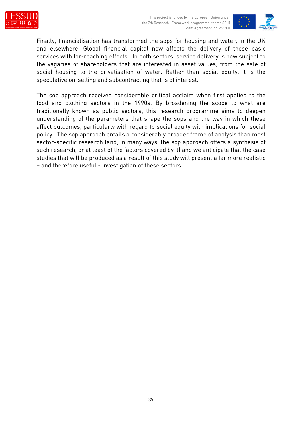



Finally, financialisation has transformed the sops for housing and water, in the UK and elsewhere. Global financial capital now affects the delivery of these basic services with far-reaching effects. In both sectors, service delivery is now subject to the vagaries of shareholders that are interested in asset values, from the sale of social housing to the privatisation of water. Rather than social equity, it is the speculative on-selling and subcontracting that is of interest.

The sop approach received considerable critical acclaim when first applied to the food and clothing sectors in the 1990s. By broadening the scope to what are traditionally known as public sectors, this research programme aims to deepen understanding of the parameters that shape the sops and the way in which these affect outcomes, particularly with regard to social equity with implications for social policy. The sop approach entails a considerably broader frame of analysis than most sector-specific research (and, in many ways, the sop approach offers a synthesis of such research, or at least of the factors covered by it) and we anticipate that the case studies that will be produced as a result of this study will present a far more realistic – and therefore useful - investigation of these sectors.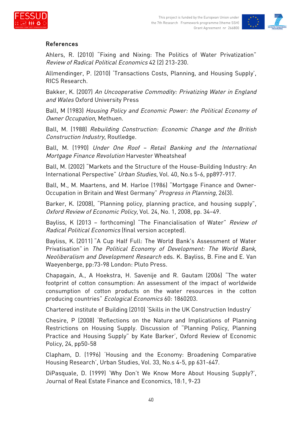



#### References

Ahlers, R. (2010) "Fixing and Nixing: The Politics of Water Privatization" Review of Radical Political Economics 42 (2) 213-230.

Allmendinger, P. (2010) 'Transactions Costs, Planning, and Housing Supply', RICS Research.

Bakker, K. (2007) An Uncooperative Commodity: Privatizing Water in England and Wales Oxford University Press

Ball, M (1983) Housing Policy and Economic Power: the Political Economy of Owner Occupation, Methuen.

Ball, M. (1988) Rebuilding Construction: Economic Change and the British Construction Industry, Routledge.

Ball, M. (1990) Under One Roof – Retail Banking and the International Mortgage Finance Revolution Harvester Wheatsheaf

Ball, M. (2002) "Markets and the Structure of the House-Building Industry: An International Perspective" Urban Studies, Vol. 40, No.s 5-6, pp897-917.

Ball, M., M. Maartens, and M. Harloe (1986) "Mortgage Finance and Owner-Occupation in Britain and West Germany" Progress in Planning, 26(3).

Barker, K. (2008), "Planning policy, planning practice, and housing supply", Oxford Review of Economic Policy, Vol. 24, No. 1, 2008, pp. 34–49.

Bayliss, K (2013 – forthcoming) "The Financialisation of Water" Review of Radical Political Economics (final version accepted).

Bayliss, K. (2011) "A Cup Half Full: The World Bank's Assessment of Water Privatisation" in The Political Economy of Development: The World Bank, Neoliberalism and Development Research eds. K. Bayliss, B. Fine and E. Van Waeyenberge, pp:73-98 London: Pluto Press.

Chapagain, A., A Hoekstra, H. Savenije and R. Gautam (2006) "The water footprint of cotton consumption: An assessment of the impact of worldwide consumption of cotton products on the water resources in the cotton producing countries" Ecological Economics 60: 1860203.

Chartered institute of Building (2010) 'Skills in the UK Construction Industry'

Chesire, P (2008) 'Reflections on the Nature and Implications of Planning Restrictions on Housing Supply. Discussion of "Planning Policy, Planning Practice and Housing Supply" by Kate Barker', Oxford Review of Economic Policy, 24, pp50-58

Clapham, D. (1996) 'Housing and the Economy: Broadening Comparative Housing Research', Urban Studies, Vol. 33, No.s 4-5, pp 631-647.

DiPasquale, D. (1999) 'Why Don't We Know More About Housing Supply?', Journal of Real Estate Finance and Economics, 18:1, 9-23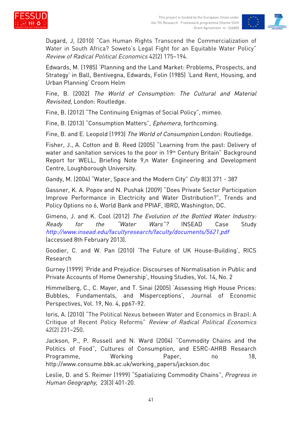



Dugard, J, (2010) "Can Human Rights Transcend the Commercialization of Water in South Africa? Soweto's Legal Fight for an Equitable Water Policy" Review of Radical Political Economics 42(2) 175–194.

Edwards, M. (1985) 'Planning and the Land Market: Problems, Prospects, and Strategy' in Ball, Bentivegna, Edwards, Folin (1985) 'Land Rent, Housing, and Urban Planning' Croom Helm

Fine, B. (2002) The World of Consumption: The Cultural and Material Revisited, London: Routledge.

Fine, B. (2012) "The Continuing Enigmas of Social Policy", mimeo.

Fine, B. (2013) "Consumption Matters", Ephemera, forthcoming.

Fine, B. and E. Leopold (1993) The World of Consumption London: Routledge.

Fisher, J., A. Cotton and B. Reed (2005) "Learning from the past: Delivery of water and sanitation services to the poor in 19th Century Britain" Background Report for WELL, Briefing Note 9,n Water Engineering and Development Centre, Loughborough University.

Gandy, M. (2004) "Water, Space and the Modern City" City 8(3) 371 - 387

Gassner, K. A. Popov and N. Pushak (2009) "Does Private Sector Participation Improve Performance in Electricity and Water Distribution?", Trends and Policy Options no 6, World Bank and PPIAF, IBRD, Washington, DC.

Gimeno, J. and K. Cool (2012) The Evolution of the Bottled Water Industry: Ready for the "Water Wars"? INSEAD Case Study http://www.insead.edu/facultyresearch/faculty/documents/5621.pdf (accessed 8th February 2013).

Goodier, C. and W. Pan (2010) 'The Future of UK House-Building', RICS Research

Gurney (1999) 'Pride and Prejudice: Discourses of Normalisation in Public and Private Accounts of Home Ownership', Housing Studies, Vol. 14, No. 2

Himmelberg, C., C. Mayer, and T. Sinai (2005) 'Assessing High House Prices: Bubbles, Fundamentals, and Misperceptions', Journal of Economic Perspectives, Vol. 19, No. 4, pp67-92.

Ioris, A. (2010) "The Political Nexus between Water and Economics in Brazil: A Critique of Recent Policy Reforms" Review of Radical Political Economics 42(2) 231–250.

Jackson, P., P. Russell and N. Ward (2004) "Commodity Chains and the Politics of Food", Cultures of Consumption, and ESRC-AHRB Research Programme, Working Paper, no 18, http://www.consume.bbk.ac.uk/working\_papers/jackson.doc

Leslie, D. and S. Reimer (1999) "Spatializing Commodity Chains", Progress in Human Geography, 23(3) 401-20.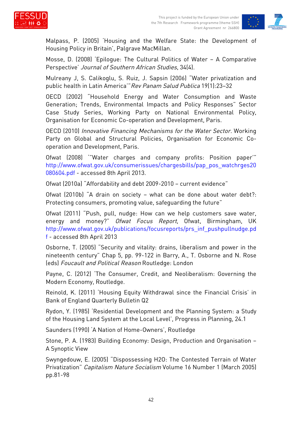



Malpass, P. (2005) 'Housing and the Welfare State: the Development of Housing Policy in Britain', Palgrave MacMillan.

Mosse, D. (2008) 'Epilogue: The Cultural Politics of Water – A Comparative Perspective' Journal of Southern African Studies, 34(4).

Mulreany J, S. Calikoglu, S. Ruiz, J. Sapsin (2006) "Water privatization and public health in Latin America'"Rev Panam Salud Publica 19(1):23–32

OECD (2002) "Household Energy and Water Consumption and Waste Generation; Trends, Environmental Impacts and Policy Responses" Sector Case Study Series, Working Party on National Environmental Policy, Organisation for Economic Co-operation and Development, Paris.

OECD (2010) Innovative Financing Mechanisms for the Water Sector. Working Party on Global and Structural Policies, Organisation for Economic Cooperation and Development, Paris.

Ofwat (2008) '"Water charges and company profits: Position paper'" http://www.ofwat.gov.uk/consumerissues/chargesbills/pap\_pos\_watchrges20 080604.pdf - accessed 8th April 2013.

Ofwat (2010a) "Affordability and debt 2009-2010 – current evidence"

Ofwat (2010b) "A drain on society – what can be done about water debt?: Protecting consumers, promoting value, safeguarding the future"

Ofwat (2011) "Push, pull, nudge: How can we help customers save water, energy and money?" Ofwat Focus Report, Ofwat, Birmingham, UK http://www.ofwat.gov.uk/publications/focusreports/prs\_inf\_pushpullnudge.pd f - accessed 8th April 2013

Osborne, T. (2005) "Security and vitality: drains, liberalism and power in the nineteenth century" Chap 5, pp. 99-122 in Barry, A., T. Osborne and N. Rose (eds) Foucault and Political Reason Routledge: London

Payne, C. (2012) 'The Consumer, Credit, and Neoliberalism: Governing the Modern Economy, Routledge.

Reinold, K. (2011) 'Housing Equity Withdrawal since the Financial Crisis' in Bank of England Quarterly Bulletin Q2

Rydon, Y. (1985) 'Residential Development and the Planning System: a Study of the Housing Land System at the Local Level', Progress in Planning, 24.1

Saunders (1990) 'A Nation of Home-Owners', Routledge

Stone, P. A. (1983) Building Economy: Design, Production and Organisation – A Synoptic View

Swyngedouw, E. (2005) "Dispossessing H2O: The Contested Terrain of Water Privatization" Capitalism Nature Socialism Volume 16 Number 1 (March 2005) pp.81-98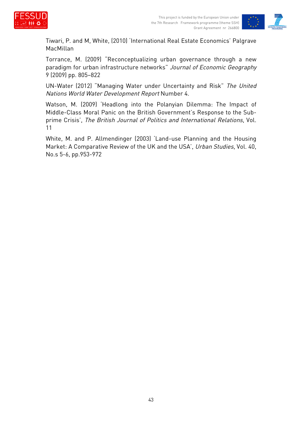



Tiwari, P. and M, White, (2010) 'International Real Estate Economics' Palgrave MacMillan

Torrance, M. (2009) "Reconceptualizing urban governance through a new paradigm for urban infrastructure networks" Journal of Economic Geography 9 (2009) pp. 805–822

UN-Water (2012) "Managing Water under Uncertainty and Risk" The United Nations World Water Development Report Number 4.

Watson, M. (2009) 'Headlong into the Polanyian Dilemma: The Impact of Middle-Class Moral Panic on the British Government's Response to the Subprime Crisis', The British Journal of Politics and International Relations, Vol. 11

White, M. and P. Allmendinger (2003) 'Land-use Planning and the Housing Market: A Comparative Review of the UK and the USA', Urban Studies, Vol. 40, No.s 5-6, pp.953-972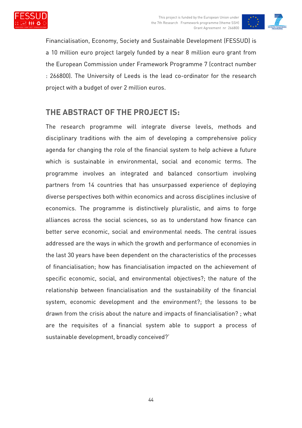



Financialisation, Economy, Society and Sustainable Development (FESSUD) is a 10 million euro project largely funded by a near 8 million euro grant from the European Commission under Framework Programme 7 (contract number : 266800). The University of Leeds is the lead co-ordinator for the research project with a budget of over 2 million euros.

### **THE ABSTRACT OF THE PROJECT IS:**

The research programme will integrate diverse levels, methods and disciplinary traditions with the aim of developing a comprehensive policy agenda for changing the role of the financial system to help achieve a future which is sustainable in environmental, social and economic terms. The programme involves an integrated and balanced consortium involving partners from 14 countries that has unsurpassed experience of deploying diverse perspectives both within economics and across disciplines inclusive of economics. The programme is distinctively pluralistic, and aims to forge alliances across the social sciences, so as to understand how finance can better serve economic, social and environmental needs. The central issues addressed are the ways in which the growth and performance of economies in the last 30 years have been dependent on the characteristics of the processes of financialisation; how has financialisation impacted on the achievement of specific economic, social, and environmental objectives?; the nature of the relationship between financialisation and the sustainability of the financial system, economic development and the environment?; the lessons to be drawn from the crisis about the nature and impacts of financialisation? ; what are the requisites of a financial system able to support a process of sustainable development, broadly conceived?'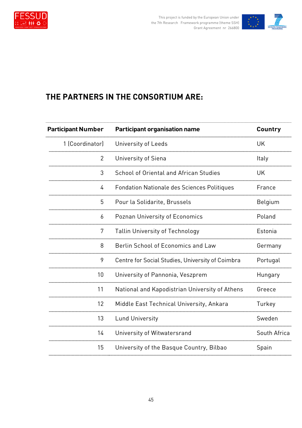



# **THE PARTNERS IN THE CONSORTIUM ARE:**

| <b>Participant Number</b> | <b>Participant organisation name</b>               | Country      |
|---------------------------|----------------------------------------------------|--------------|
| 1 (Coordinator)           | University of Leeds                                | <b>UK</b>    |
| $\overline{2}$            | University of Siena                                | Italy        |
| 3                         | School of Oriental and African Studies             | <b>UK</b>    |
| 4                         | <b>Fondation Nationale des Sciences Politiques</b> | France       |
| 5                         | Pour la Solidarite, Brussels                       | Belgium      |
| 6                         | Poznan University of Economics                     | Poland       |
| 7                         | <b>Tallin University of Technology</b>             | Estonia      |
| 8                         | Berlin School of Economics and Law                 | Germany      |
| 9                         | Centre for Social Studies, University of Coimbra   | Portugal     |
| 10                        | University of Pannonia, Veszprem                   | Hungary      |
| 11                        | National and Kapodistrian University of Athens     | Greece       |
| 12                        | Middle East Technical University, Ankara           | Turkey       |
| 13                        | <b>Lund University</b>                             | Sweden       |
| 14                        | University of Witwatersrand                        | South Africa |
| 15                        | University of the Basque Country, Bilbao           | Spain        |
|                           |                                                    |              |